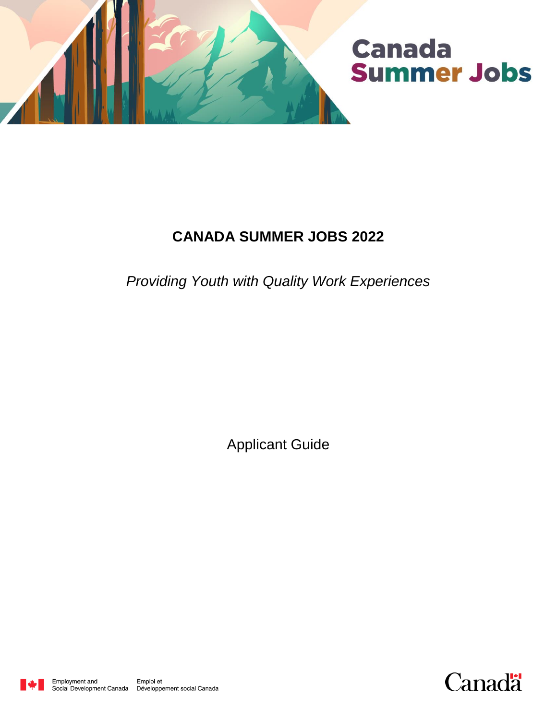

# **CANADA SUMMER JOBS 2022**

*Providing Youth with Quality Work Experiences* 

Applicant Guide



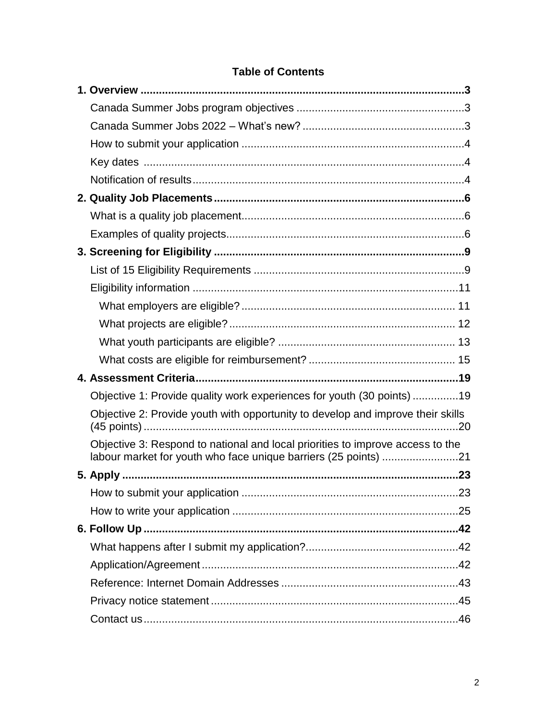## **Table of Contents**

|  | Objective 1: Provide quality work experiences for youth (30 points) 19                                                                            |  |
|--|---------------------------------------------------------------------------------------------------------------------------------------------------|--|
|  | Objective 2: Provide youth with opportunity to develop and improve their skills                                                                   |  |
|  | Objective 3: Respond to national and local priorities to improve access to the<br>labour market for youth who face unique barriers (25 points) 21 |  |
|  |                                                                                                                                                   |  |
|  |                                                                                                                                                   |  |
|  |                                                                                                                                                   |  |
|  |                                                                                                                                                   |  |
|  |                                                                                                                                                   |  |
|  |                                                                                                                                                   |  |
|  |                                                                                                                                                   |  |
|  |                                                                                                                                                   |  |
|  |                                                                                                                                                   |  |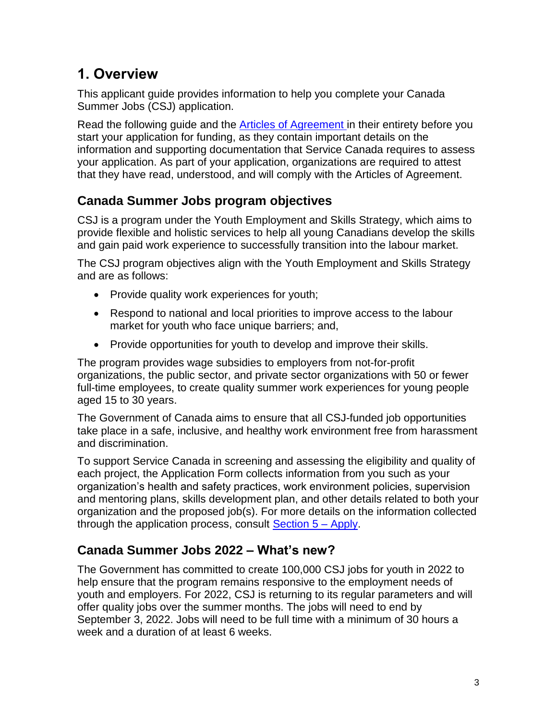# <span id="page-2-0"></span>**1. Overview**

This applicant guide provides information to help you complete your Canada Summer Jobs (CSJ) application.

Read the following guide and the [Articles of Agreement](https://www.canada.ca/en/employment-social-development/services/funding/youth-summer-job/agreement.html) in their entirety before you start your application for funding, as they contain important details on the information and supporting documentation that Service Canada requires to assess your application. As part of your application, organizations are required to attest that they have read, understood, and will comply with the Articles of Agreement.

# <span id="page-2-1"></span>**Canada Summer Jobs program objectives**

CSJ is a program under the Youth Employment and Skills Strategy, which aims to provide flexible and holistic services to help all young Canadians develop the skills and gain paid work experience to successfully transition into the labour market.

The CSJ program objectives align with the Youth Employment and Skills Strategy and are as follows:

- Provide quality work experiences for youth;
- Respond to national and local priorities to improve access to the labour market for youth who face unique barriers; and,
- Provide opportunities for youth to develop and improve their skills.

The program provides wage subsidies to employers from not-for-profit organizations, the public sector, and private sector organizations with 50 or fewer full-time employees, to create quality summer work experiences for young people aged 15 to 30 years.

The Government of Canada aims to ensure that all CSJ-funded job opportunities take place in a safe, inclusive, and healthy work environment free from harassment and discrimination.

To support Service Canada in screening and assessing the eligibility and quality of each project, the Application Form collects information from you such as your organization's health and safety practices, work environment policies, supervision and mentoring plans, skills development plan, and other details related to both your organization and the proposed job(s). For more details on the information collected through the application process, consult  $Section 5 - Apply$ .

# <span id="page-2-2"></span>**Canada Summer Jobs 2022 – What's new?**

The Government has committed to create 100,000 CSJ jobs for youth in 2022 to help ensure that the program remains responsive to the employment needs of youth and employers. For 2022, CSJ is returning to its regular parameters and will offer quality jobs over the summer months. The jobs will need to end by September 3, 2022. Jobs will need to be full time with a minimum of 30 hours a week and a duration of at least 6 weeks.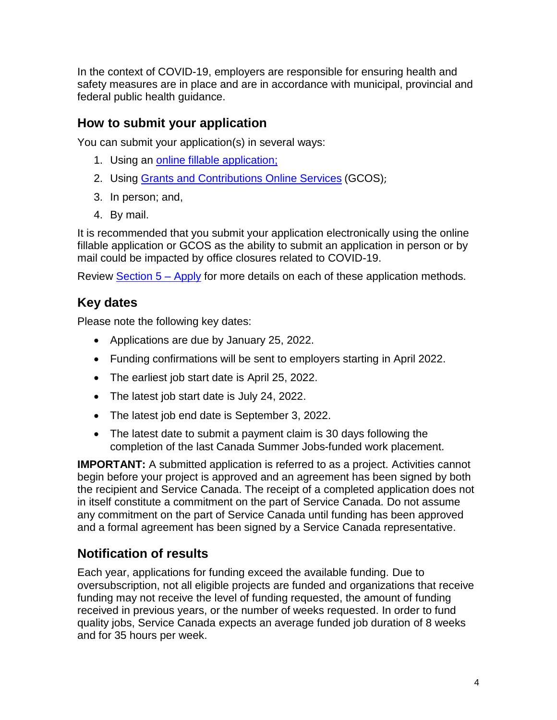In the context of COVID-19, employers are responsible for ensuring health and safety measures are in place and are in accordance with municipal, provincial and federal public health guidance.

# <span id="page-3-0"></span>**How to submit your application**

You can submit your application(s) in several ways:

- 1. Using an [online fillable application;](https://srv217.services.gc.ca/ihst4/Intro.aspx?cid=e7d4ea95-e956-4121-8754-03166ae47520&lc=eng)
- 2. Using [Grants and Contributions Online Services](https://www.canada.ca/en/employment-social-development/services/funding/gcos.html) (GCOS);
- 3. In person; and,
- 4. By mail.

It is recommended that you submit your application electronically using the online fillable application or GCOS as the ability to submit an application in person or by mail could be impacted by office closures related to COVID-19.

Review [Section 5 –](#page-22-0) Apply for more details on each of these application methods.

# <span id="page-3-1"></span>**Key dates**

Please note the following key dates:

- Applications are due by January 25, 2022.
- Funding confirmations will be sent to employers starting in April 2022.
- The earliest job start date is April 25, 2022.
- The latest job start date is July 24, 2022.
- The latest job end date is September 3, 2022.
- The latest date to submit a payment claim is 30 days following the completion of the last Canada Summer Jobs-funded work placement.

**IMPORTANT:** A submitted application is referred to as a project. Activities cannot begin before your project is approved and an agreement has been signed by both the recipient and Service Canada. The receipt of a completed application does not in itself constitute a commitment on the part of Service Canada. Do not assume any commitment on the part of Service Canada until funding has been approved and a formal agreement has been signed by a Service Canada representative.

# <span id="page-3-2"></span>**Notification of results**

Each year, applications for funding exceed the available funding. Due to oversubscription, not all eligible projects are funded and organizations that receive funding may not receive the level of funding requested, the amount of funding received in previous years, or the number of weeks requested. In order to fund quality jobs, Service Canada expects an average funded job duration of 8 weeks and for 35 hours per week.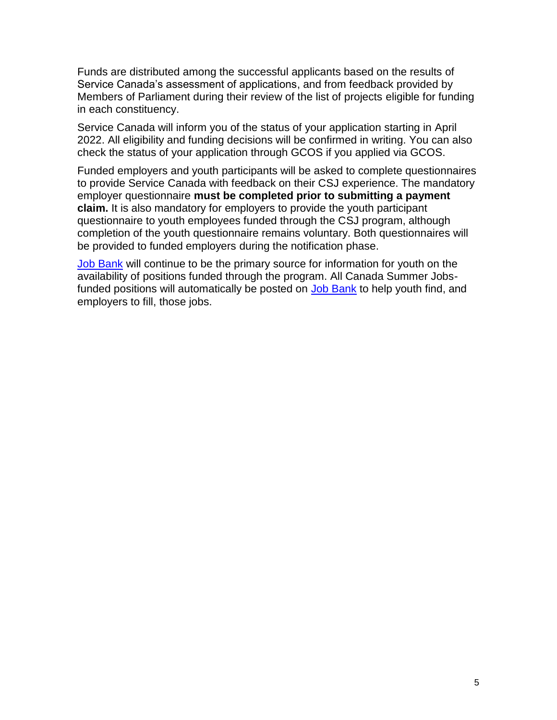Funds are distributed among the successful applicants based on the results of Service Canada's assessment of applications, and from feedback provided by Members of Parliament during their review of the list of projects eligible for funding in each constituency.

Service Canada will inform you of the status of your application starting in April 2022. All eligibility and funding decisions will be confirmed in writing. You can also check the status of your application through GCOS if you applied via GCOS.

Funded employers and youth participants will be asked to complete questionnaires to provide Service Canada with feedback on their CSJ experience. The mandatory employer questionnaire **must be completed prior to submitting a payment claim.** It is also mandatory for employers to provide the youth participant questionnaire to youth employees funded through the CSJ program, although completion of the youth questionnaire remains voluntary. Both questionnaires will be provided to funded employers during the notification phase.

**[Job Bank](https://www.jobbank.gc.ca/youth)** will continue to be the primary source for information for youth on the availability of positions funded through the program. All Canada Summer Jobs-funded positions will automatically be posted on [Job Bank](https://www.jobbank.gc.ca/youth) to help youth find, and employers to fill, those jobs.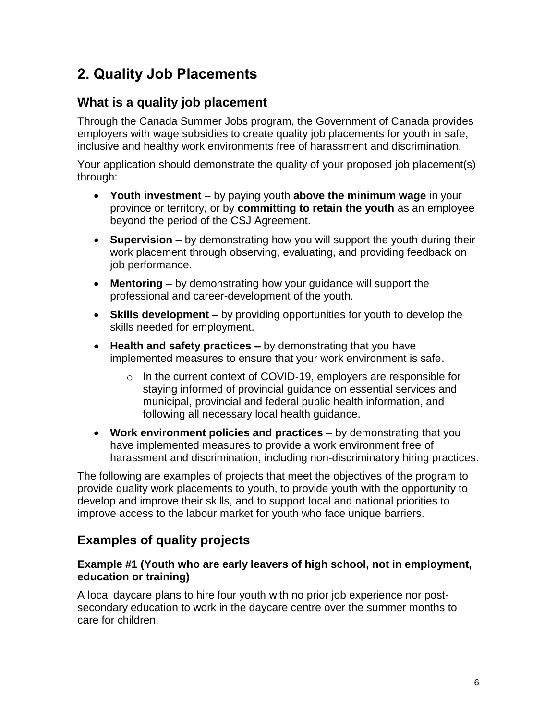# <span id="page-5-0"></span>**2. Quality Job Placements**

## <span id="page-5-1"></span>**What is a quality job placement**

Through the Canada Summer Jobs program, the Government of Canada provides employers with wage subsidies to create quality job placements for youth in safe, inclusive and healthy work environments free of harassment and discrimination.

Your application should demonstrate the quality of your proposed job placement(s) through:

- **Youth investment** by paying youth **above the minimum wage** in your province or territory, or by **committing to retain the youth** as an employee beyond the period of the CSJ Agreement.
- **Supervision** by demonstrating how you will support the youth during their work placement through observing, evaluating, and providing feedback on job performance.
- **Mentoring**  by demonstrating how your guidance will support the professional and career-development of the youth.
- **Skills development –** by providing opportunities for youth to develop the skills needed for employment.
- **Health and safety practices –** by demonstrating that you have implemented measures to ensure that your work environment is safe.
	- o In the current context of COVID-19, employers are responsible for staying informed of provincial guidance on essential services and municipal, provincial and federal public health information, and following all necessary local health guidance.
- **Work environment policies and practices** by demonstrating that you have implemented measures to provide a work environment free of harassment and discrimination, including non-discriminatory hiring practices.

The following are examples of projects that meet the objectives of the program to provide quality work placements to youth, to provide youth with the opportunity to develop and improve their skills, and to support local and national priorities to improve access to the labour market for youth who face unique barriers.

# <span id="page-5-2"></span>**Examples of quality projects**

## **Example #1 (Youth who are early leavers of high school, not in employment, education or training)**

A local daycare plans to hire four youth with no prior job experience nor postsecondary education to work in the daycare centre over the summer months to care for children.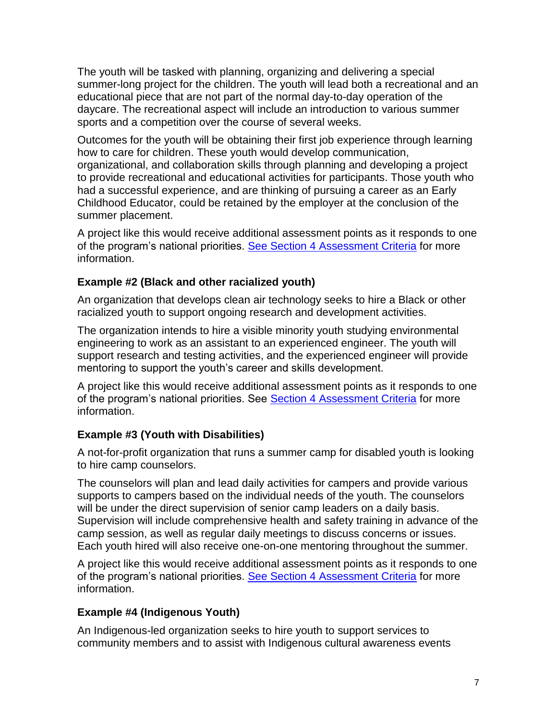The youth will be tasked with planning, organizing and delivering a special summer-long project for the children. The youth will lead both a recreational and an educational piece that are not part of the normal day-to-day operation of the daycare. The recreational aspect will include an introduction to various summer sports and a competition over the course of several weeks.

Outcomes for the youth will be obtaining their first job experience through learning how to care for children. These youth would develop communication, organizational, and collaboration skills through planning and developing a project to provide recreational and educational activities for participants. Those youth who had a successful experience, and are thinking of pursuing a career as an Early Childhood Educator, could be retained by the employer at the conclusion of the summer placement.

A project like this would receive additional assessment points as it responds to one of the program's national priorities. [See Section 4 Assessment Criteria](#page-18-2) for more information.

## **Example #2 (Black and other racialized youth)**

An organization that develops clean air technology seeks to hire a Black or other racialized youth to support ongoing research and development activities.

The organization intends to hire a visible minority youth studying environmental engineering to work as an assistant to an experienced engineer. The youth will support research and testing activities, and the experienced engineer will provide mentoring to support the youth's career and skills development.

A project like this would receive additional assessment points as it responds to one of the program's national priorities. See [Section 4 Assessment Criteria](#page-18-0) for more information.

## **Example #3 (Youth with Disabilities)**

A not-for-profit organization that runs a summer camp for disabled youth is looking to hire camp counselors.

The counselors will plan and lead daily activities for campers and provide various supports to campers based on the individual needs of the youth. The counselors will be under the direct supervision of senior camp leaders on a daily basis. Supervision will include comprehensive health and safety training in advance of the camp session, as well as regular daily meetings to discuss concerns or issues. Each youth hired will also receive one-on-one mentoring throughout the summer.

A project like this would receive additional assessment points as it responds to one of the program's national priorities. [See Section 4 Assessment Criteria](#page-18-2) for more information.

## **Example #4 (Indigenous Youth)**

An Indigenous-led organization seeks to hire youth to support services to community members and to assist with Indigenous cultural awareness events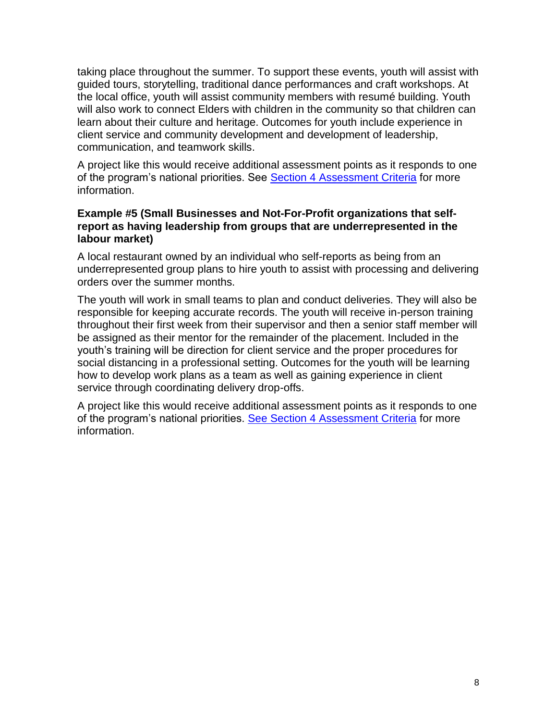taking place throughout the summer. To support these events, youth will assist with guided tours, storytelling, traditional dance performances and craft workshops. At the local office, youth will assist community members with resumé building. Youth will also work to connect Elders with children in the community so that children can learn about their culture and heritage. Outcomes for youth include experience in client service and community development and development of leadership, communication, and teamwork skills.

A project like this would receive additional assessment points as it responds to one of the program's national priorities. See **Section 4 [Assessment Criteria](#page-18-0)** for more information.

#### **Example #5 (Small Businesses and Not-For-Profit organizations that selfreport as having leadership from groups that are underrepresented in the labour market)**

A local restaurant owned by an individual who self-reports as being from an underrepresented group plans to hire youth to assist with processing and delivering orders over the summer months.

The youth will work in small teams to plan and conduct deliveries. They will also be responsible for keeping accurate records. The youth will receive in-person training throughout their first week from their supervisor and then a senior staff member will be assigned as their mentor for the remainder of the placement. Included in the youth's training will be direction for client service and the proper procedures for social distancing in a professional setting. Outcomes for the youth will be learning how to develop work plans as a team as well as gaining experience in client service through coordinating delivery drop-offs.

A project like this would receive additional assessment points as it responds to one of the program's national priorities. [See Section 4 Assessment Criteria](#page-18-2) for more information.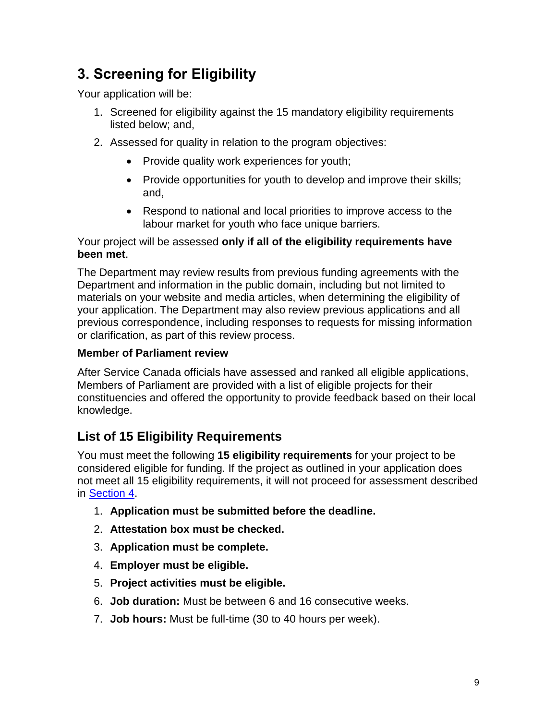# <span id="page-8-0"></span>**3. Screening for Eligibility**

Your application will be:

- 1. Screened for eligibility against the 15 mandatory eligibility requirements listed below; and,
- 2. Assessed for quality in relation to the program objectives:
	- Provide quality work experiences for youth;
	- Provide opportunities for youth to develop and improve their skills; and,
	- Respond to national and local priorities to improve access to the labour market for youth who face unique barriers.

Your project will be assessed **only if all of the eligibility requirements have been met**.

The Department may review results from previous funding agreements with the Department and information in the public domain, including but not limited to materials on your website and media articles, when determining the eligibility of your application. The Department may also review previous applications and all previous correspondence, including responses to requests for missing information or clarification, as part of this review process.

## **Member of Parliament review**

After Service Canada officials have assessed and ranked all eligible applications, Members of Parliament are provided with a list of eligible projects for their constituencies and offered the opportunity to provide feedback based on their local knowledge.

# <span id="page-8-1"></span>**List of 15 Eligibility Requirements**

You must meet the following **15 eligibility requirements** for your project to be considered eligible for funding. If the project as outlined in your application does not meet all 15 eligibility requirements, it will not proceed for assessment described in [Section 4.](#page-18-0)

- 1. **Application must be submitted before the deadline.**
- 2. **Attestation box must be checked.**
- 3. **Application must be complete.**
- 4. **Employer must be eligible.**
- 5. **Project activities must be eligible.**
- 6. **Job duration:** Must be between 6 and 16 consecutive weeks.
- 7. **Job hours:** Must be full-time (30 to 40 hours per week).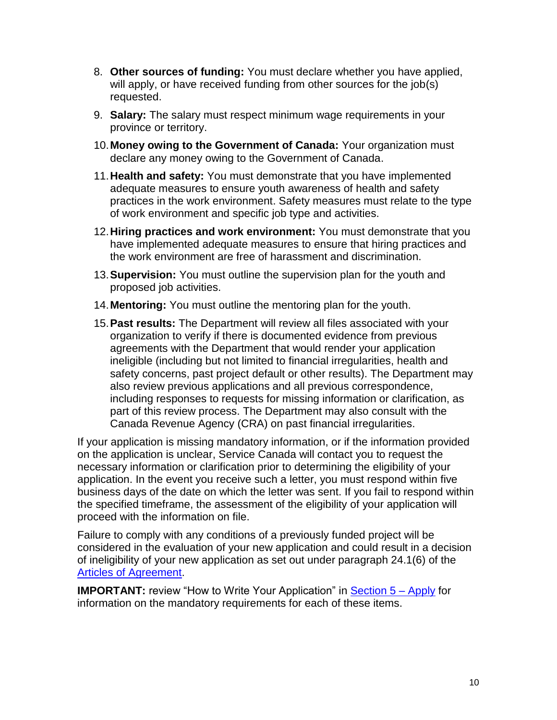- 8. **Other sources of funding:** You must declare whether you have applied, will apply, or have received funding from other sources for the  $job(s)$ requested.
- 9. **Salary:** The salary must respect minimum wage requirements in your province or territory.
- 10.**Money owing to the Government of Canada:** Your organization must declare any money owing to the Government of Canada.
- 11.**Health and safety:** You must demonstrate that you have implemented adequate measures to ensure youth awareness of health and safety practices in the work environment. Safety measures must relate to the type of work environment and specific job type and activities.
- 12.**Hiring practices and work environment:** You must demonstrate that you have implemented adequate measures to ensure that hiring practices and the work environment are free of harassment and discrimination.
- 13.**Supervision:** You must outline the supervision plan for the youth and proposed job activities.
- 14.**Mentoring:** You must outline the mentoring plan for the youth.
- 15.**Past results:** The Department will review all files associated with your organization to verify if there is documented evidence from previous agreements with the Department that would render your application ineligible (including but not limited to financial irregularities, health and safety concerns, past project default or other results). The Department may also review previous applications and all previous correspondence, including responses to requests for missing information or clarification, as part of this review process. The Department may also consult with the Canada Revenue Agency (CRA) on past financial irregularities.

If your application is missing mandatory information, or if the information provided on the application is unclear, Service Canada will contact you to request the necessary information or clarification prior to determining the eligibility of your application. In the event you receive such a letter, you must respond within five business days of the date on which the letter was sent. If you fail to respond within the specified timeframe, the assessment of the eligibility of your application will proceed with the information on file.

Failure to comply with any conditions of a previously funded project will be considered in the evaluation of your new application and could result in a decision of ineligibility of your new application as set out under paragraph 24.1(6) of the [Articles of Agreement.](https://www.canada.ca/en/employment-social-development/services/funding/canada-summer-jobs/agreement.html)

**IMPORTANT:** review "How to Write Your Application" in [Section 5 –](#page-22-0) Apply for information on the mandatory requirements for each of these items.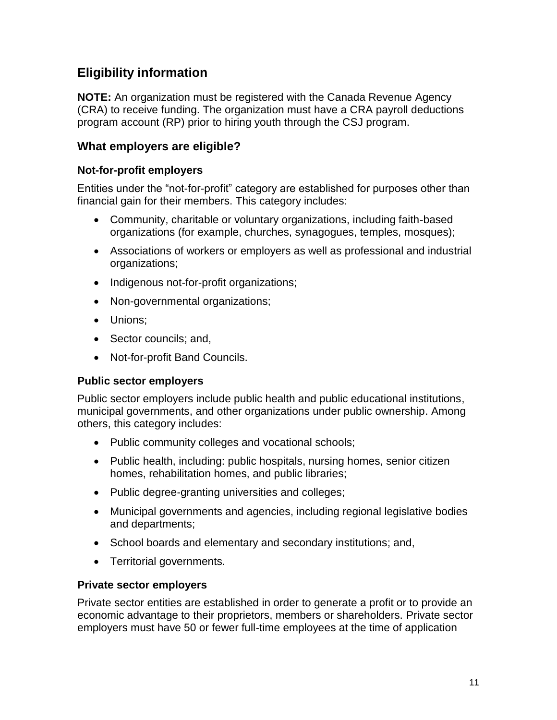## <span id="page-10-0"></span>**Eligibility information**

**NOTE:** An organization must be registered with the Canada Revenue Agency (CRA) to receive funding. The organization must have a CRA payroll deductions program account (RP) prior to hiring youth through the CSJ program.

## <span id="page-10-1"></span>**What employers are eligible?**

### **Not-for-profit employers**

Entities under the "not-for-profit" category are established for purposes other than financial gain for their members. This category includes:

- Community, charitable or voluntary organizations, including faith-based organizations (for example, churches, synagogues, temples, mosques);
- Associations of workers or employers as well as professional and industrial organizations;
- Indigenous not-for-profit organizations;
- Non-governmental organizations;
- Unions;
- Sector councils; and,
- Not-for-profit Band Councils.

#### **Public sector employers**

Public sector employers include public health and public educational institutions, municipal governments, and other organizations under public ownership. Among others, this category includes:

- Public community colleges and vocational schools;
- Public health, including: public hospitals, nursing homes, senior citizen homes, rehabilitation homes, and public libraries;
- Public degree-granting universities and colleges;
- Municipal governments and agencies, including regional legislative bodies and departments;
- School boards and elementary and secondary institutions; and,
- Territorial governments.

#### **Private sector employers**

Private sector entities are established in order to generate a profit or to provide an economic advantage to their proprietors, members or shareholders. Private sector employers must have 50 or fewer full-time employees at the time of application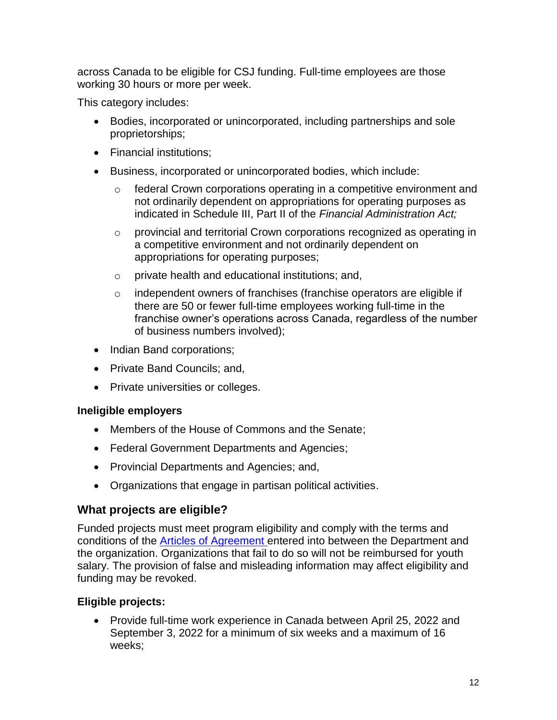across Canada to be eligible for CSJ funding. Full-time employees are those working 30 hours or more per week.

This category includes:

- Bodies, incorporated or unincorporated, including partnerships and sole proprietorships;
- Financial institutions:
- Business, incorporated or unincorporated bodies, which include:
	- o federal Crown corporations operating in a competitive environment and not ordinarily dependent on appropriations for operating purposes as indicated in Schedule III, Part II of the *Financial Administration Act;*
	- o provincial and territorial Crown corporations recognized as operating in a competitive environment and not ordinarily dependent on appropriations for operating purposes;
	- o private health and educational institutions; and,
	- $\circ$  independent owners of franchises (franchise operators are eligible if there are 50 or fewer full-time employees working full-time in the franchise owner's operations across Canada, regardless of the number of business numbers involved);
- Indian Band corporations;
- Private Band Councils; and,
- Private universities or colleges.

## **Ineligible employers**

- Members of the House of Commons and the Senate:
- Federal Government Departments and Agencies;
- Provincial Departments and Agencies; and,
- Organizations that engage in partisan political activities.

## <span id="page-11-0"></span>**What projects are eligible?**

Funded projects must meet program eligibility and comply with the terms and conditions of the [Articles of Agreement](https://www.canada.ca/en/employment-social-development/services/funding/canada-summer-jobs/agreement.html) entered into between the Department and the organization. Organizations that fail to do so will not be reimbursed for youth salary. The provision of false and misleading information may affect eligibility and funding may be revoked.

## **Eligible projects:**

 Provide full-time work experience in Canada between April 25, 2022 and September 3, 2022 for a minimum of six weeks and a maximum of 16 weeks;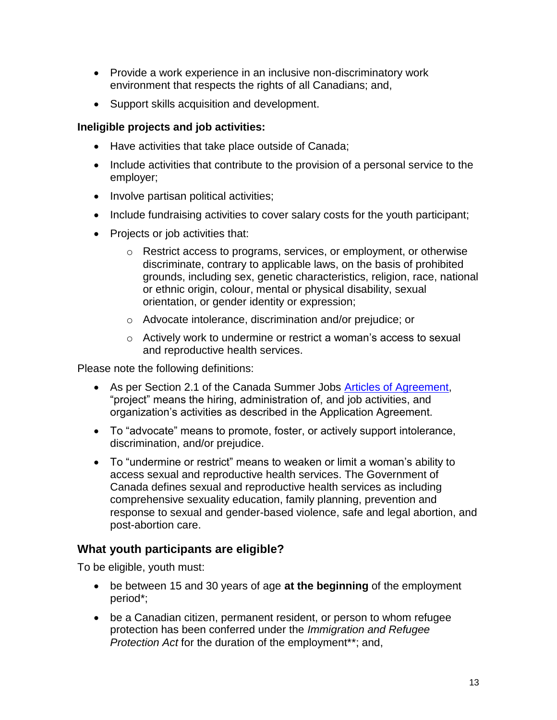- Provide a work experience in an inclusive non-discriminatory work environment that respects the rights of all Canadians; and,
- Support skills acquisition and development.

#### **Ineligible projects and job activities:**

- Have activities that take place outside of Canada;
- Include activities that contribute to the provision of a personal service to the employer;
- Involve partisan political activities;
- Include fundraising activities to cover salary costs for the youth participant;
- Projects or job activities that:
	- $\circ$  Restrict access to programs, services, or employment, or otherwise discriminate, contrary to applicable laws, on the basis of prohibited grounds, including sex, genetic characteristics, religion, race, national or ethnic origin, colour, mental or physical disability, sexual orientation, or gender identity or expression;
	- o Advocate intolerance, discrimination and/or prejudice; or
	- o Actively work to undermine or restrict a woman's access to sexual and reproductive health services.

Please note the following definitions:

- As per Section 2.1 of the Canada Summer Jobs [Articles of Agreement,](https://www.canada.ca/en/employment-social-development/services/funding/youth-summer-job/agreement.html) "project" means the hiring, administration of, and job activities, and organization's activities as described in the Application Agreement.
- To "advocate" means to promote, foster, or actively support intolerance, discrimination, and/or prejudice.
- To "undermine or restrict" means to weaken or limit a woman's ability to access sexual and reproductive health services. The Government of Canada defines sexual and reproductive health services as including comprehensive sexuality education, family planning, prevention and response to sexual and gender-based violence, safe and legal abortion, and post-abortion care.

## <span id="page-12-0"></span>**What youth participants are eligible?**

To be eligible, youth must:

- be between 15 and 30 years of age **at the beginning** of the employment period\*;
- be a Canadian citizen, permanent resident, or person to whom refugee protection has been conferred under the *Immigration and Refugee Protection Act* for the duration of the employment\*\*; and,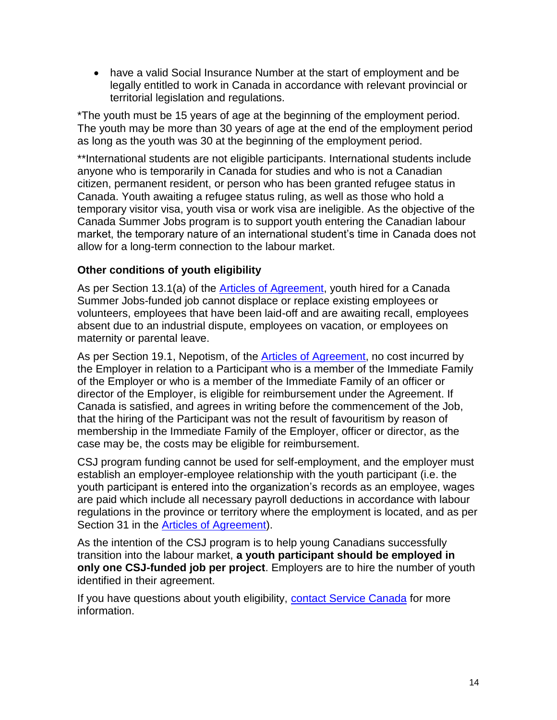have a valid Social Insurance Number at the start of employment and be legally entitled to work in Canada in accordance with relevant provincial or territorial legislation and regulations.

\*The youth must be 15 years of age at the beginning of the employment period. The youth may be more than 30 years of age at the end of the employment period as long as the youth was 30 at the beginning of the employment period.

\*\*International students are not eligible participants. International students include anyone who is temporarily in Canada for studies and who is not a Canadian citizen, permanent resident, or person who has been granted refugee status in Canada. Youth awaiting a refugee status ruling, as well as those who hold a temporary visitor visa, youth visa or work visa are ineligible. As the objective of the Canada Summer Jobs program is to support youth entering the Canadian labour market, the temporary nature of an international student's time in Canada does not allow for a long-term connection to the labour market.

## **Other conditions of youth eligibility**

As per Section 13.1(a) of the **Articles of Agreement**, youth hired for a Canada Summer Jobs-funded job cannot displace or replace existing employees or volunteers, employees that have been laid-off and are awaiting recall, employees absent due to an industrial dispute, employees on vacation, or employees on maternity or parental leave.

As per Section 19.1, Nepotism, of the [Articles of Agreement,](https://www.canada.ca/en/employment-social-development/services/funding/youth-summer-job/agreement.html) no cost incurred by the Employer in relation to a Participant who is a member of the Immediate Family of the Employer or who is a member of the Immediate Family of an officer or director of the Employer, is eligible for reimbursement under the Agreement. If Canada is satisfied, and agrees in writing before the commencement of the Job, that the hiring of the Participant was not the result of favouritism by reason of membership in the Immediate Family of the Employer, officer or director, as the case may be, the costs may be eligible for reimbursement.

CSJ program funding cannot be used for self-employment, and the employer must establish an employer-employee relationship with the youth participant (i.e. the youth participant is entered into the organization's records as an employee, wages are paid which include all necessary payroll deductions in accordance with labour regulations in the province or territory where the employment is located, and as per Section 31 in the **Articles of Agreement**).

As the intention of the CSJ program is to help young Canadians successfully transition into the labour market, **a youth participant should be employed in only one CSJ-funded job per project**. Employers are to hire the number of youth identified in their agreement.

If you have questions about youth eligibility, [contact Service Canada](https://www.canada.ca/en/employment-social-development/corporate/contact/canada-summer-jobs.html) for more information.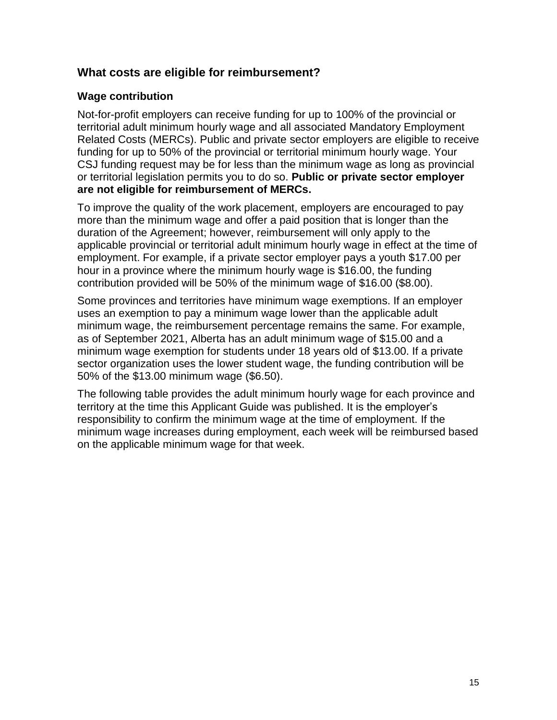## <span id="page-14-0"></span>**What costs are eligible for reimbursement?**

### **Wage contribution**

Not-for-profit employers can receive funding for up to 100% of the provincial or territorial adult minimum hourly wage and all associated Mandatory Employment Related Costs (MERCs). Public and private sector employers are eligible to receive funding for up to 50% of the provincial or territorial minimum hourly wage. Your CSJ funding request may be for less than the minimum wage as long as provincial or territorial legislation permits you to do so. **Public or private sector employer are not eligible for reimbursement of MERCs.**

To improve the quality of the work placement, employers are encouraged to pay more than the minimum wage and offer a paid position that is longer than the duration of the Agreement; however, reimbursement will only apply to the applicable provincial or territorial adult minimum hourly wage in effect at the time of employment. For example, if a private sector employer pays a youth \$17.00 per hour in a province where the minimum hourly wage is \$16.00, the funding contribution provided will be 50% of the minimum wage of \$16.00 (\$8.00).

Some provinces and territories have minimum wage exemptions. If an employer uses an exemption to pay a minimum wage lower than the applicable adult minimum wage, the reimbursement percentage remains the same. For example, as of September 2021, Alberta has an adult minimum wage of \$15.00 and a minimum wage exemption for students under 18 years old of \$13.00. If a private sector organization uses the lower student wage, the funding contribution will be 50% of the \$13.00 minimum wage (\$6.50).

The following table provides the adult minimum hourly wage for each province and territory at the time this Applicant Guide was published. It is the employer's responsibility to confirm the minimum wage at the time of employment. If the minimum wage increases during employment, each week will be reimbursed based on the applicable minimum wage for that week.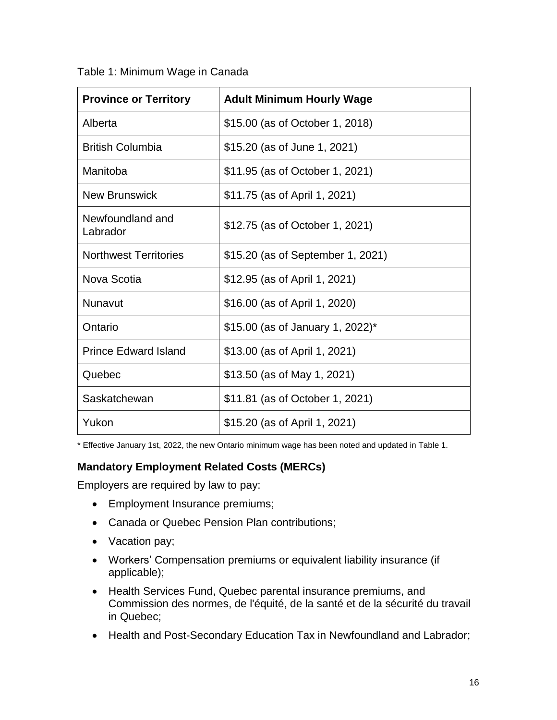| <b>Province or Territory</b> | <b>Adult Minimum Hourly Wage</b>  |
|------------------------------|-----------------------------------|
| Alberta                      | \$15.00 (as of October 1, 2018)   |
| <b>British Columbia</b>      | \$15.20 (as of June 1, 2021)      |
| Manitoba                     | \$11.95 (as of October 1, 2021)   |
| <b>New Brunswick</b>         | \$11.75 (as of April 1, 2021)     |
| Newfoundland and<br>Labrador | \$12.75 (as of October 1, 2021)   |
| <b>Northwest Territories</b> | \$15.20 (as of September 1, 2021) |
| Nova Scotia                  | \$12.95 (as of April 1, 2021)     |
| Nunavut                      | \$16.00 (as of April 1, 2020)     |
| Ontario                      | \$15.00 (as of January 1, 2022)*  |
| <b>Prince Edward Island</b>  | \$13.00 (as of April 1, 2021)     |
| Quebec                       | \$13.50 (as of May 1, 2021)       |
| Saskatchewan                 | \$11.81 (as of October 1, 2021)   |
| Yukon                        | \$15.20 (as of April 1, 2021)     |

<span id="page-15-0"></span>Table 1: Minimum Wage in Canada

\* Effective January 1st, 2022, the new Ontario minimum wage has been noted and updated in Table 1.

#### **Mandatory Employment Related Costs (MERCs)**

Employers are required by law to pay:

- Employment Insurance premiums;
- Canada or Quebec Pension Plan contributions;
- Vacation pay;
- Workers' Compensation premiums or equivalent liability insurance (if applicable);
- Health Services Fund, Quebec parental insurance premiums, and Commission des normes, de l'équité, de la santé et de la sécurité du travail in Quebec;
- Health and Post-Secondary Education Tax in Newfoundland and Labrador;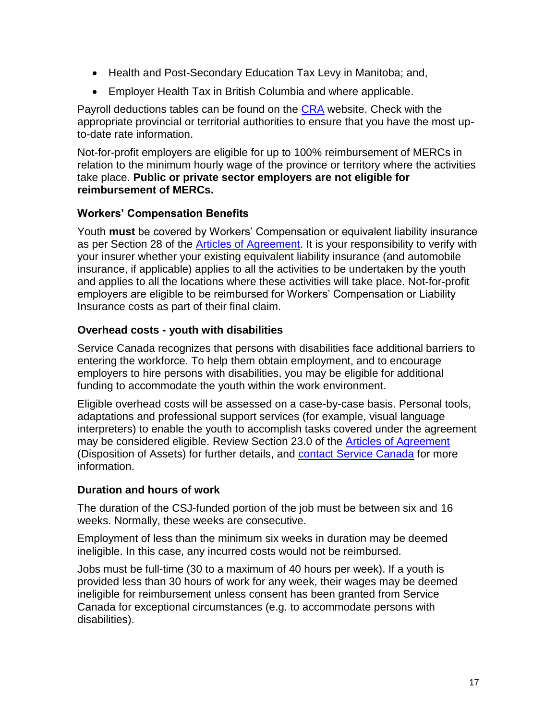- Health and Post-Secondary Education Tax Levy in Manitoba; and,
- Employer Health Tax in British Columbia and where applicable.

Payroll deductions tables can be found on the [CRA](https://www.canada.ca/en/revenue-agency.html) website. Check with the appropriate provincial or territorial authorities to ensure that you have the most upto-date rate information.

Not-for-profit employers are eligible for up to 100% reimbursement of MERCs in relation to the minimum hourly wage of the province or territory where the activities take place. **Public or private sector employers are not eligible for reimbursement of MERCs.**

## **Workers' Compensation Benefits**

Youth **must** be covered by Workers' Compensation or equivalent liability insurance as per Section 28 of the [Articles of Agreement.](https://www.canada.ca/en/employment-social-development/services/funding/youth-summer-job/agreement.html) It is your responsibility to verify with your insurer whether your existing equivalent liability insurance (and automobile insurance, if applicable) applies to all the activities to be undertaken by the youth and applies to all the locations where these activities will take place. Not-for-profit employers are eligible to be reimbursed for Workers' Compensation or Liability Insurance costs as part of their final claim.

## **Overhead costs - youth with disabilities**

Service Canada recognizes that persons with disabilities face additional barriers to entering the workforce. To help them obtain employment, and to encourage employers to hire persons with disabilities, you may be eligible for additional funding to accommodate the youth within the work environment.

Eligible overhead costs will be assessed on a case-by-case basis. Personal tools, adaptations and professional support services (for example, visual language interpreters) to enable the youth to accomplish tasks covered under the agreement may be considered eligible. Review Section 23.0 of the [Articles of Agreement](https://www.canada.ca/en/employment-social-development/services/funding/youth-summer-job/agreement.html) (Disposition of Assets) for further details, and [contact Service Canada](https://www.canada.ca/en/employment-social-development/corporate/contact/canada-summer-jobs.html) for more information.

## **Duration and hours of work**

The duration of the CSJ-funded portion of the job must be between six and 16 weeks. Normally, these weeks are consecutive.

Employment of less than the minimum six weeks in duration may be deemed ineligible. In this case, any incurred costs would not be reimbursed.

Jobs must be full-time (30 to a maximum of 40 hours per week). If a youth is provided less than 30 hours of work for any week, their wages may be deemed ineligible for reimbursement unless consent has been granted from Service Canada for exceptional circumstances (e.g. to accommodate persons with disabilities).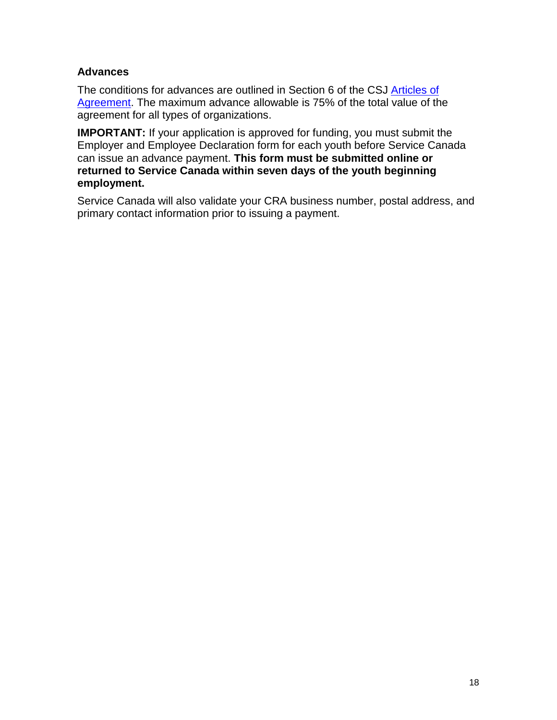### **Advances**

The conditions for advances are outlined in Section 6 of the CSJ [Articles of](https://www.canada.ca/en/employment-social-development/services/funding/youth-summer-job/agreement.html)  [Agreement.](https://www.canada.ca/en/employment-social-development/services/funding/youth-summer-job/agreement.html) The maximum advance allowable is 75% of the total value of the agreement for all types of organizations.

**IMPORTANT:** If your application is approved for funding, you must submit the Employer and Employee Declaration form for each youth before Service Canada can issue an advance payment. **This form must be submitted online or returned to Service Canada within seven days of the youth beginning employment.**

Service Canada will also validate your CRA business number, postal address, and primary contact information prior to issuing a payment.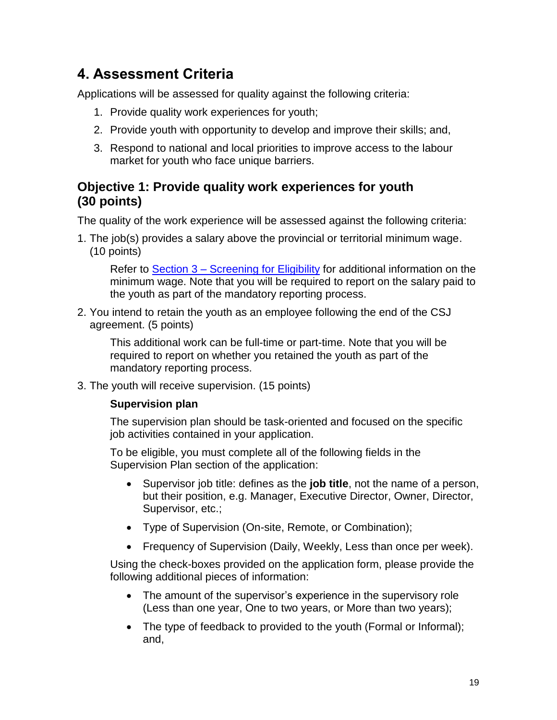# <span id="page-18-2"></span><span id="page-18-0"></span>**4. Assessment Criteria**

Applications will be assessed for quality against the following criteria:

- 1. Provide quality work experiences for youth;
- 2. Provide youth with opportunity to develop and improve their skills; and,
- 3. Respond to national and local priorities to improve access to the labour market for youth who face unique barriers.

## <span id="page-18-1"></span>**Objective 1: Provide quality work experiences for youth (30 points)**

The quality of the work experience will be assessed against the following criteria:

1. The job(s) provides a salary above the provincial or territorial minimum wage. (10 points)

Refer to Section 3 – [Screening for Eligibility](#page-8-0) for additional information on the minimum wage. Note that you will be required to report on the salary paid to the youth as part of the mandatory reporting process.

2. You intend to retain the youth as an employee following the end of the CSJ agreement. (5 points)

This additional work can be full-time or part-time. Note that you will be required to report on whether you retained the youth as part of the mandatory reporting process.

3. The youth will receive supervision. (15 points)

## **Supervision plan**

The supervision plan should be task-oriented and focused on the specific job activities contained in your application.

To be eligible, you must complete all of the following fields in the Supervision Plan section of the application:

- Supervisor job title: defines as the **job title**, not the name of a person, but their position, e.g. Manager, Executive Director, Owner, Director, Supervisor, etc.;
- Type of Supervision (On-site, Remote, or Combination);
- Frequency of Supervision (Daily, Weekly, Less than once per week).

Using the check-boxes provided on the application form, please provide the following additional pieces of information:

- The amount of the supervisor's experience in the supervisory role (Less than one year, One to two years, or More than two years);
- The type of feedback to provided to the youth (Formal or Informal); and,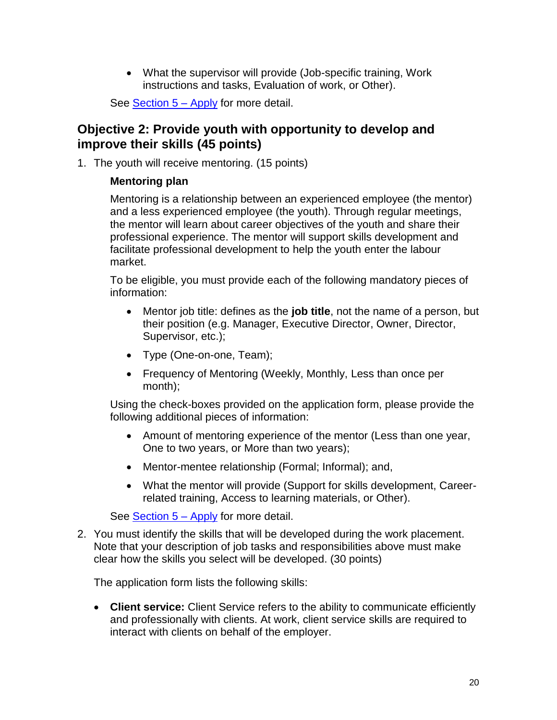What the supervisor will provide (Job-specific training, Work instructions and tasks, Evaluation of work, or Other).

See **Section 5 – Apply** for more detail.

## <span id="page-19-0"></span>**Objective 2: Provide youth with opportunity to develop and improve their skills (45 points)**

1. The youth will receive mentoring. (15 points)

#### **Mentoring plan**

Mentoring is a relationship between an experienced employee (the mentor) and a less experienced employee (the youth). Through regular meetings, the mentor will learn about career objectives of the youth and share their professional experience. The mentor will support skills development and facilitate professional development to help the youth enter the labour market.

To be eligible, you must provide each of the following mandatory pieces of information:

- Mentor job title: defines as the **job title**, not the name of a person, but their position (e.g. Manager, Executive Director, Owner, Director, Supervisor, etc.);
- Type (One-on-one, Team);
- Frequency of Mentoring (Weekly, Monthly, Less than once per month);

Using the check-boxes provided on the application form, please provide the following additional pieces of information:

- Amount of mentoring experience of the mentor (Less than one year, One to two years, or More than two years);
- Mentor-mentee relationship (Formal; Informal); and,
- What the mentor will provide (Support for skills development, Careerrelated training, Access to learning materials, or Other).

See [Section 5 –](#page-22-0) Apply for more detail.

2. You must identify the skills that will be developed during the work placement. Note that your description of job tasks and responsibilities above must make clear how the skills you select will be developed. (30 points)

The application form lists the following skills:

 **Client service:** Client Service refers to the ability to communicate efficiently and professionally with clients. At work, client service skills are required to interact with clients on behalf of the employer.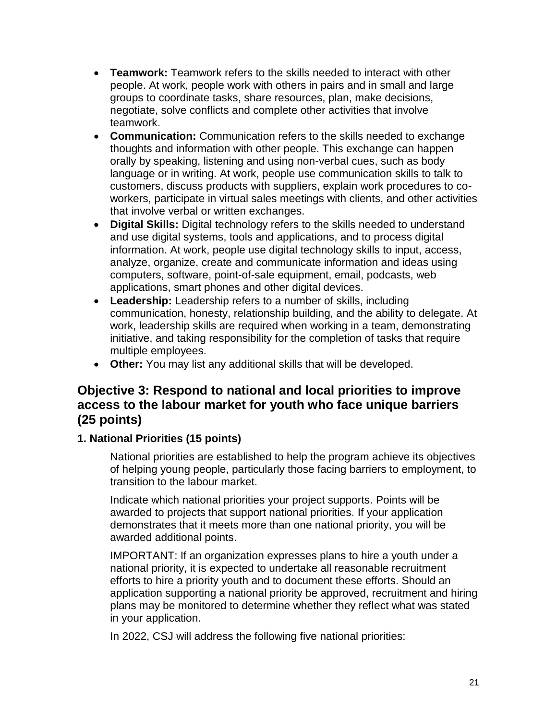- **Teamwork:** Teamwork refers to the skills needed to interact with other people. At work, people work with others in pairs and in small and large groups to coordinate tasks, share resources, plan, make decisions, negotiate, solve conflicts and complete other activities that involve teamwork.
- **Communication:** Communication refers to the skills needed to exchange thoughts and information with other people. This exchange can happen orally by speaking, listening and using non-verbal cues, such as body language or in writing. At work, people use communication skills to talk to customers, discuss products with suppliers, explain work procedures to coworkers, participate in virtual sales meetings with clients, and other activities that involve verbal or written exchanges.
- **Digital Skills:** Digital technology refers to the skills needed to understand and use digital systems, tools and applications, and to process digital information. At work, people use digital technology skills to input, access, analyze, organize, create and communicate information and ideas using computers, software, point-of-sale equipment, email, podcasts, web applications, smart phones and other digital devices.
- **Leadership:** Leadership refers to a number of skills, including communication, honesty, relationship building, and the ability to delegate. At work, leadership skills are required when working in a team, demonstrating initiative, and taking responsibility for the completion of tasks that require multiple employees.
- **Other:** You may list any additional skills that will be developed.

## <span id="page-20-0"></span>**Objective 3: Respond to national and local priorities to improve access to the labour market for youth who face unique barriers (25 points)**

## **1. National Priorities (15 points)**

National priorities are established to help the program achieve its objectives of helping young people, particularly those facing barriers to employment, to transition to the labour market.

Indicate which national priorities your project supports. Points will be awarded to projects that support national priorities. If your application demonstrates that it meets more than one national priority, you will be awarded additional points.

IMPORTANT: If an organization expresses plans to hire a youth under a national priority, it is expected to undertake all reasonable recruitment efforts to hire a priority youth and to document these efforts. Should an application supporting a national priority be approved, recruitment and hiring plans may be monitored to determine whether they reflect what was stated in your application.

In 2022, CSJ will address the following five national priorities: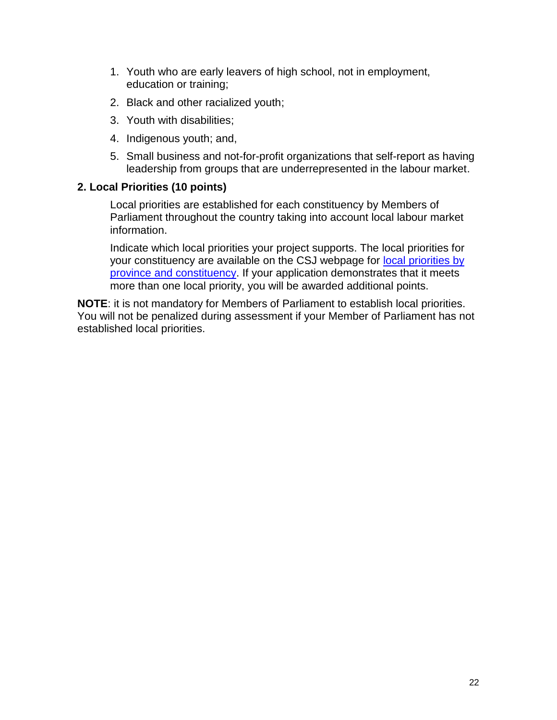- 1. Youth who are early leavers of high school, not in employment, education or training;
- 2. Black and other racialized youth;
- 3. Youth with disabilities;
- 4. Indigenous youth; and,
- 5. Small business and not-for-profit organizations that self-report as having leadership from groups that are underrepresented in the labour market.

#### **2. Local Priorities (10 points)**

Local priorities are established for each constituency by Members of Parliament throughout the country taking into account local labour market information.

Indicate which local priorities your project supports. The local priorities for your constituency are available on the CSJ webpage for [local priorities by](https://www.canada.ca/en/employment-social-development/services/funding/canada-summer-jobs/local-priorities.html)  [province and constituency.](https://www.canada.ca/en/employment-social-development/services/funding/canada-summer-jobs/local-priorities.html) If your application demonstrates that it meets more than one local priority, you will be awarded additional points.

**NOTE**: it is not mandatory for Members of Parliament to establish local priorities. You will not be penalized during assessment if your Member of Parliament has not established local priorities.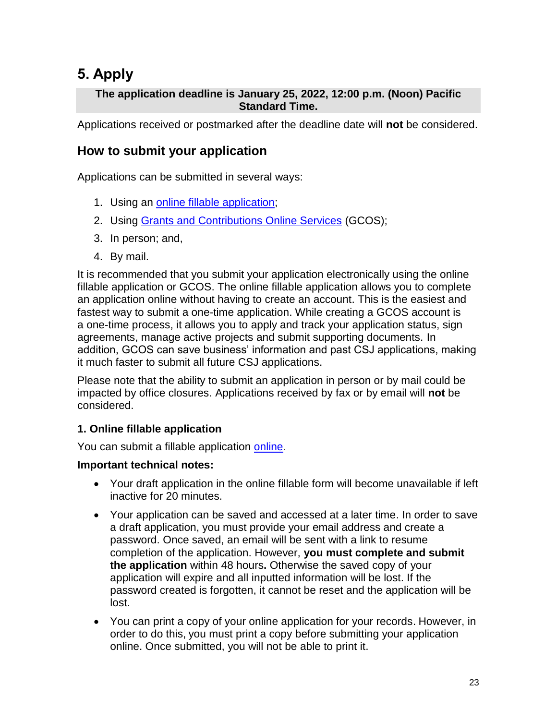# <span id="page-22-0"></span>**5. Apply**

## **The application deadline is January 25, 2022, 12:00 p.m. (Noon) Pacific Standard Time.**

Applications received or postmarked after the deadline date will **not** be considered.

## <span id="page-22-1"></span>**How to submit your application**

Applications can be submitted in several ways:

- 1. Using an online [fillable application;](https://srv217.services.gc.ca/ihst4/Intro.aspx?cid=e7d4ea95-e956-4121-8754-03166ae47520&lc=eng)
- 2. Using [Grants and Contributions Online Services](https://www.canada.ca/en/employment-social-development/services/funding/gcos.html) (GCOS);
- 3. In person; and,
- 4. By mail.

It is recommended that you submit your application electronically using the online fillable application or GCOS. The online fillable application allows you to complete an application online without having to create an account. This is the easiest and fastest way to submit a one-time application. While creating a GCOS account is a one-time process, it allows you to apply and track your application status, sign agreements, manage active projects and submit supporting documents. In addition, GCOS can save business' information and past CSJ applications, making it much faster to submit all future CSJ applications.

Please note that the ability to submit an application in person or by mail could be impacted by office closures. Applications received by fax or by email will **not** be considered.

## **1. Online fillable application**

You can submit a fillable application [online.](https://srv217.services.gc.ca/ihst4/Intro.aspx?cid=e7d4ea95-e956-4121-8754-03166ae47520&lc=eng)

#### **Important technical notes:**

- Your draft application in the online fillable form will become unavailable if left inactive for 20 minutes.
- Your application can be saved and accessed at a later time. In order to save a draft application, you must provide your email address and create a password. Once saved, an email will be sent with a link to resume completion of the application. However, **you must complete and submit the application** within 48 hours**.** Otherwise the saved copy of your application will expire and all inputted information will be lost. If the password created is forgotten, it cannot be reset and the application will be lost.
- You can print a copy of your online application for your records. However, in order to do this, you must print a copy before submitting your application online. Once submitted, you will not be able to print it.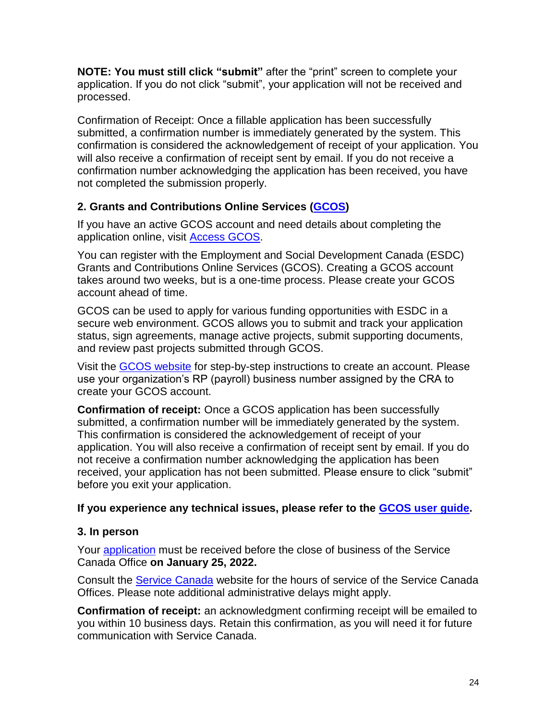**NOTE: You must still click "submit"** after the "print" screen to complete your application. If you do not click "submit", your application will not be received and processed.

Confirmation of Receipt: Once a fillable application has been successfully submitted, a confirmation number is immediately generated by the system. This confirmation is considered the acknowledgement of receipt of your application. You will also receive a confirmation of receipt sent by email. If you do not receive a confirmation number acknowledging the application has been received, you have not completed the submission properly.

## **2. Grants and Contributions Online Services [\(GCOS\)](https://www.canada.ca/en/employment-social-development/services/funding/gcos.html)**

If you have an active GCOS account and need details about completing the application online, visit [Access GCOS.](https://www.canada.ca/en/employment-social-development/services/funding/gcos.html)

You can register with the Employment and Social Development Canada (ESDC) Grants and Contributions Online Services (GCOS). Creating a GCOS account takes around two weeks, but is a one-time process. Please create your GCOS account ahead of time.

GCOS can be used to apply for various funding opportunities with ESDC in a secure web environment. GCOS allows you to submit and track your application status, sign agreements, manage active projects, submit supporting documents, and review past projects submitted through GCOS.

Visit the [GCOS website](https://www.canada.ca/en/employment-social-development/services/funding/gcos/register.html) for step-by-step instructions to create an account. Please use your organization's RP (payroll) business number assigned by the CRA to create your GCOS account.

**Confirmation of receipt:** Once a GCOS application has been successfully submitted, a confirmation number will be immediately generated by the system. This confirmation is considered the acknowledgement of receipt of your application. You will also receive a confirmation of receipt sent by email. If you do not receive a confirmation number acknowledging the application has been received, your application has not been submitted. Please ensure to click "submit" before you exit your application.

## **If you experience any technical issues, please refer to the [GCOS user guide.](https://www.canada.ca/en/employment-social-development/services/funding/gcos/userguide/csj-application.html)**

## **3. In person**

Your **application** must be received before the close of business of the Service Canada Office **on January 25, 2022.**

Consult the [Service Canada](http://www.servicecanada.gc.ca/tbsc-fsco/sc-hme.jsp?lang=eng) website for the hours of service of the Service Canada Offices. Please note additional administrative delays might apply.

**Confirmation of receipt:** an acknowledgment confirming receipt will be emailed to you within 10 business days. Retain this confirmation, as you will need it for future communication with Service Canada.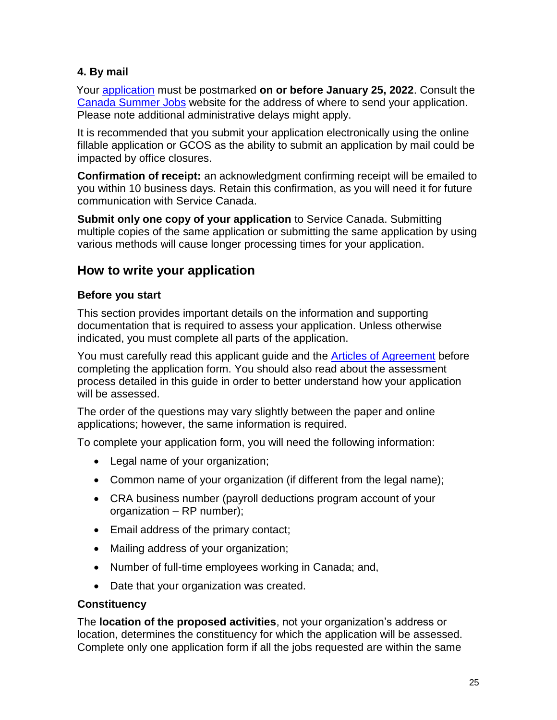## **4. By mail**

Your [application](https://catalogue.servicecanada.gc.ca/content/EForms/en/Detail.html?Form=EMP5396A) must be postmarked **on or before January 25, 2022**. Consult the [Canada Summer Jo](https://www.canada.ca/en/employment-social-development/corporate/contact/canada-summer-jobs.html)bs website for the address of where to send your application. Please note additional administrative delays might apply.

It is recommended that you submit your application electronically using the online fillable application or GCOS as the ability to submit an application by mail could be impacted by office closures.

**Confirmation of receipt:** an acknowledgment confirming receipt will be emailed to you within 10 business days. Retain this confirmation, as you will need it for future communication with Service Canada.

**Submit only one copy of your application** to Service Canada. Submitting multiple copies of the same application or submitting the same application by using various methods will cause longer processing times for your application.

## <span id="page-24-0"></span>**How to write your application**

## **Before you start**

This section provides important details on the information and supporting documentation that is required to assess your application. Unless otherwise indicated, you must complete all parts of the application.

You must carefully read this applicant guide and the [Articles of Agreement](https://www.canada.ca/en/employment-social-development/services/funding/youth-summer-job/agreement.html) before completing the application form. You should also read about the assessment process detailed in this guide in order to better understand how your application will be assessed.

The order of the questions may vary slightly between the paper and online applications; however, the same information is required.

To complete your application form, you will need the following information:

- Legal name of your organization;
- Common name of your organization (if different from the legal name);
- CRA business number (payroll deductions program account of your organization – RP number);
- Email address of the primary contact;
- Mailing address of your organization;
- Number of full-time employees working in Canada; and,
- Date that your organization was created.

#### **Constituency**

The **location of the proposed activities**, not your organization's address or location, determines the constituency for which the application will be assessed. Complete only one application form if all the jobs requested are within the same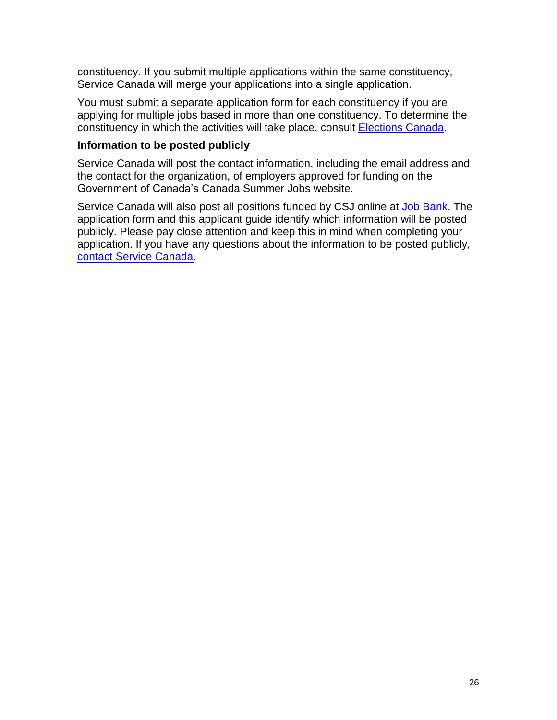constituency. If you submit multiple applications within the same constituency, Service Canada will merge your applications into a single application.

You must submit a separate application form for each constituency if you are applying for multiple jobs based in more than one constituency. To determine the constituency in which the activities will take place, consult [Elections Canada.](http://www.elections.ca/home.aspx)

#### **Information to be posted publicly**

Service Canada will post the contact information, including the email address and the contact for the organization, of employers approved for funding on the Government of Canada's Canada Summer Jobs website.

Service Canada will also post all positions funded by CSJ online at [Job Bank.](https://www.jobbank.gc.ca/youth) The application form and this applicant guide identify which information will be posted publicly. Please pay close attention and keep this in mind when completing your application. If you have any questions about the information to be posted publicly, [contact Service Canada.](https://www.canada.ca/en/employment-social-development/corporate/contact/canada-summer-jobs.html)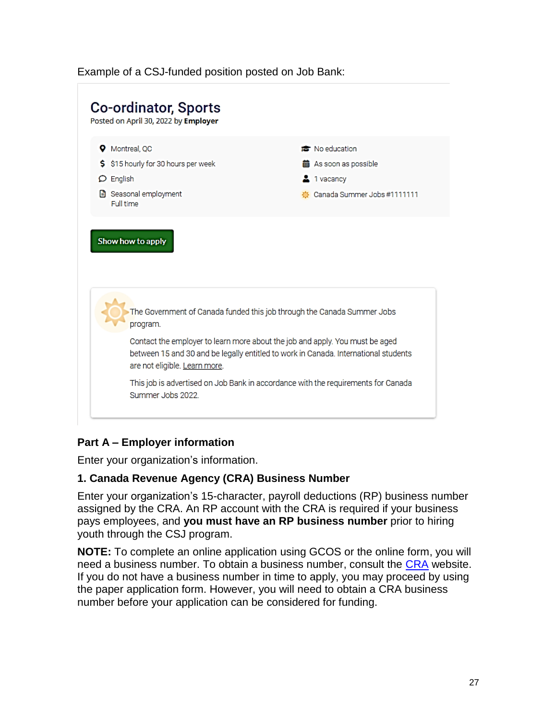#### Example of a CSJ-funded position posted on Job Bank:



## **Part A – Employer information**

Enter your organization's information.

#### **1. Canada Revenue Agency (CRA) Business Number**

Enter your organization's 15-character, payroll deductions (RP) business number assigned by the CRA. An RP account with the CRA is required if your business pays employees, and **you must have an RP business number** prior to hiring youth through the CSJ program.

**NOTE:** To complete an online application using GCOS or the online form, you will need a business number. To obtain a business number, consult the [CRA](https://www.canada.ca/en/services/taxes/business-number.html) website. If you do not have a business number in time to apply, you may proceed by using the paper application form. However, you will need to obtain a CRA business number before your application can be considered for funding.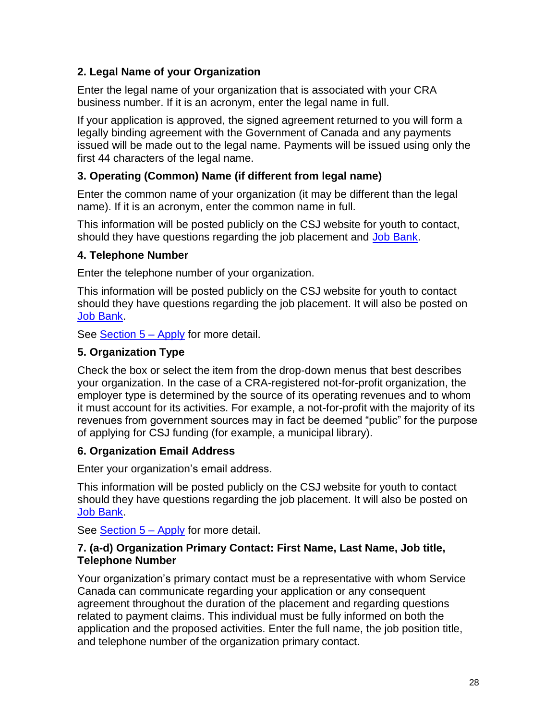## **2. Legal Name of your Organization**

Enter the legal name of your organization that is associated with your CRA business number. If it is an acronym, enter the legal name in full.

If your application is approved, the signed agreement returned to you will form a legally binding agreement with the Government of Canada and any payments issued will be made out to the legal name. Payments will be issued using only the first 44 characters of the legal name.

## **3. Operating (Common) Name (if different from legal name)**

Enter the common name of your organization (it may be different than the legal name). If it is an acronym, enter the common name in full.

This information will be posted publicly on the CSJ website for youth to contact, should they have questions regarding the job placement and [Job Bank.](https://www.jobbank.gc.ca/youth)

## **4. Telephone Number**

Enter the telephone number of your organization.

This information will be posted publicly on the CSJ website for youth to contact should they have questions regarding the job placement. It will also be posted on [Job Bank.](https://www.jobbank.gc.ca/youth)

See **Section 5 – Apply** for more detail.

## **5. Organization Type**

Check the box or select the item from the drop-down menus that best describes your organization. In the case of a CRA-registered not-for-profit organization, the employer type is determined by the source of its operating revenues and to whom it must account for its activities. For example, a not-for-profit with the majority of its revenues from government sources may in fact be deemed "public" for the purpose of applying for CSJ funding (for example, a municipal library).

## **6. Organization Email Address**

Enter your organization's email address.

This information will be posted publicly on the CSJ website for youth to contact should they have questions regarding the job placement. It will also be posted on [Job Bank.](https://www.jobbank.gc.ca/youth)

See [Section 5 –](#page-22-0) Apply for more detail.

#### **7. (a-d) Organization Primary Contact: First Name, Last Name, Job title, Telephone Number**

Your organization's primary contact must be a representative with whom Service Canada can communicate regarding your application or any consequent agreement throughout the duration of the placement and regarding questions related to payment claims. This individual must be fully informed on both the application and the proposed activities. Enter the full name, the job position title, and telephone number of the organization primary contact.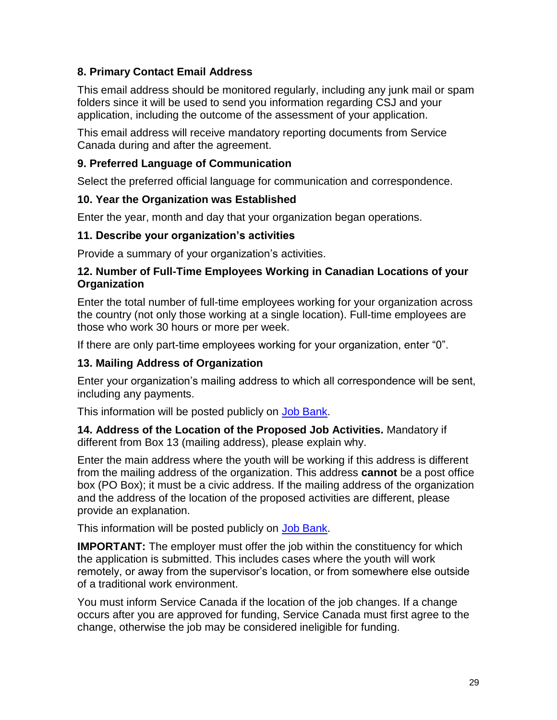## **8. Primary Contact Email Address**

This email address should be monitored regularly, including any junk mail or spam folders since it will be used to send you information regarding CSJ and your application, including the outcome of the assessment of your application.

This email address will receive mandatory reporting documents from Service Canada during and after the agreement.

### **9. Preferred Language of Communication**

Select the preferred official language for communication and correspondence.

## **10. Year the Organization was Established**

Enter the year, month and day that your organization began operations.

#### **11. Describe your organization's activities**

Provide a summary of your organization's activities.

#### **12. Number of Full-Time Employees Working in Canadian Locations of your Organization**

Enter the total number of full-time employees working for your organization across the country (not only those working at a single location). Full-time employees are those who work 30 hours or more per week.

If there are only part-time employees working for your organization, enter "0".

## **13. Mailing Address of Organization**

Enter your organization's mailing address to which all correspondence will be sent, including any payments.

This information will be posted publicly on [Job Bank.](https://www.jobbank.gc.ca/youth)

**14. Address of the Location of the Proposed Job Activities.** Mandatory if different from Box 13 (mailing address), please explain why.

Enter the main address where the youth will be working if this address is different from the mailing address of the organization. This address **cannot** be a post office box (PO Box); it must be a civic address. If the mailing address of the organization and the address of the location of the proposed activities are different, please provide an explanation.

This information will be posted publicly on [Job Bank.](https://www.jobbank.gc.ca/youth)

**IMPORTANT:** The employer must offer the job within the constituency for which the application is submitted. This includes cases where the youth will work remotely, or away from the supervisor's location, or from somewhere else outside of a traditional work environment.

You must inform Service Canada if the location of the job changes. If a change occurs after you are approved for funding, Service Canada must first agree to the change, otherwise the job may be considered ineligible for funding.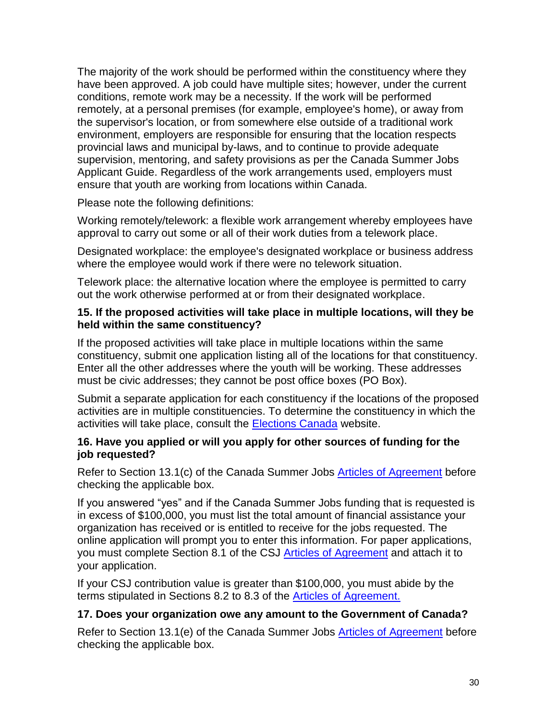The majority of the work should be performed within the constituency where they have been approved. A job could have multiple sites; however, under the current conditions, remote work may be a necessity. If the work will be performed remotely, at a personal premises (for example, employee's home), or away from the supervisor's location, or from somewhere else outside of a traditional work environment, employers are responsible for ensuring that the location respects provincial laws and municipal by-laws, and to continue to provide adequate supervision, mentoring, and safety provisions as per the Canada Summer Jobs Applicant Guide. Regardless of the work arrangements used, employers must ensure that youth are working from locations within Canada.

Please note the following definitions:

Working remotely/telework: a flexible work arrangement whereby employees have approval to carry out some or all of their work duties from a telework place.

Designated workplace: the employee's designated workplace or business address where the employee would work if there were no telework situation.

Telework place: the alternative location where the employee is permitted to carry out the work otherwise performed at or from their designated workplace.

#### **15. If the proposed activities will take place in multiple locations, will they be held within the same constituency?**

If the proposed activities will take place in multiple locations within the same constituency, submit one application listing all of the locations for that constituency. Enter all the other addresses where the youth will be working. These addresses must be civic addresses; they cannot be post office boxes (PO Box).

Submit a separate application for each constituency if the locations of the proposed activities are in multiple constituencies. To determine the constituency in which the activities will take place, consult the [Elections Canada](http://www.elections.ca/home.aspx) website.

#### **16. Have you applied or will you apply for other sources of funding for the job requested?**

Refer to Section 13.1(c) of the Canada Summer Jobs [Articles of Agreement](https://www.canada.ca/en/employment-social-development/services/funding/youth-summer-job/agreement.html) before checking the applicable box.

If you answered "yes" and if the Canada Summer Jobs funding that is requested is in excess of \$100,000, you must list the total amount of financial assistance your organization has received or is entitled to receive for the jobs requested. The online application will prompt you to enter this information. For paper applications, you must complete Section 8.1 of the CSJ [Articles of Agreement](https://www.canada.ca/en/employment-social-development/services/funding/youth-summer-job/agreement.html) and attach it to your application.

If your CSJ contribution value is greater than \$100,000, you must abide by the terms stipulated in Sections 8.2 to 8.3 of the [Articles of Agreement.](https://www.canada.ca/en/employment-social-development/services/funding/youth-summer-job/agreement.html)

## **17. Does your organization owe any amount to the Government of Canada?**

Refer to Section 13.1(e) of the Canada Summer Jobs **Articles of [Agreement](https://www.canada.ca/en/employment-social-development/services/funding/youth-summer-job/agreement.html)** before checking the applicable box.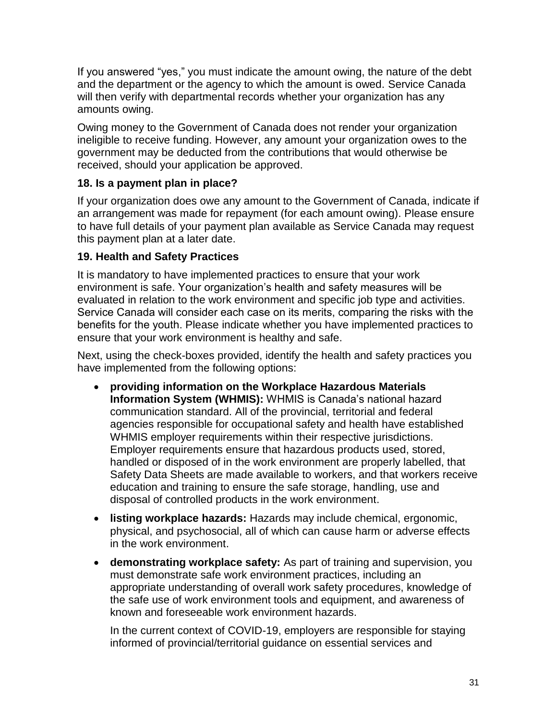If you answered "yes," you must indicate the amount owing, the nature of the debt and the department or the agency to which the amount is owed. Service Canada will then verify with departmental records whether your organization has any amounts owing.

Owing money to the Government of Canada does not render your organization ineligible to receive funding. However, any amount your organization owes to the government may be deducted from the contributions that would otherwise be received, should your application be approved.

## **18. Is a payment plan in place?**

If your organization does owe any amount to the Government of Canada, indicate if an arrangement was made for repayment (for each amount owing). Please ensure to have full details of your payment plan available as Service Canada may request this payment plan at a later date.

#### **19. Health and Safety Practices**

It is mandatory to have implemented practices to ensure that your work environment is safe. Your organization's health and safety measures will be evaluated in relation to the work environment and specific job type and activities. Service Canada will consider each case on its merits, comparing the risks with the benefits for the youth. Please indicate whether you have implemented practices to ensure that your work environment is healthy and safe.

Next, using the check-boxes provided, identify the health and safety practices you have implemented from the following options:

- **providing information on the Workplace Hazardous Materials Information System (WHMIS):** WHMIS is Canada's national hazard communication standard. All of the provincial, territorial and federal agencies responsible for occupational safety and health have established WHMIS employer requirements within their respective jurisdictions. Employer requirements ensure that hazardous products used, stored, handled or disposed of in the work environment are properly labelled, that Safety Data Sheets are made available to workers, and that workers receive education and training to ensure the safe storage, handling, use and disposal of controlled products in the work environment.
- **listing workplace hazards:** Hazards may include chemical, ergonomic, physical, and psychosocial, all of which can cause harm or adverse effects in the work environment.
- **demonstrating workplace safety:** As part of training and supervision, you must demonstrate safe work environment practices, including an appropriate understanding of overall work safety procedures, knowledge of the safe use of work environment tools and equipment, and awareness of known and foreseeable work environment hazards.

In the current context of COVID-19, employers are responsible for staying informed of provincial/territorial guidance on essential services and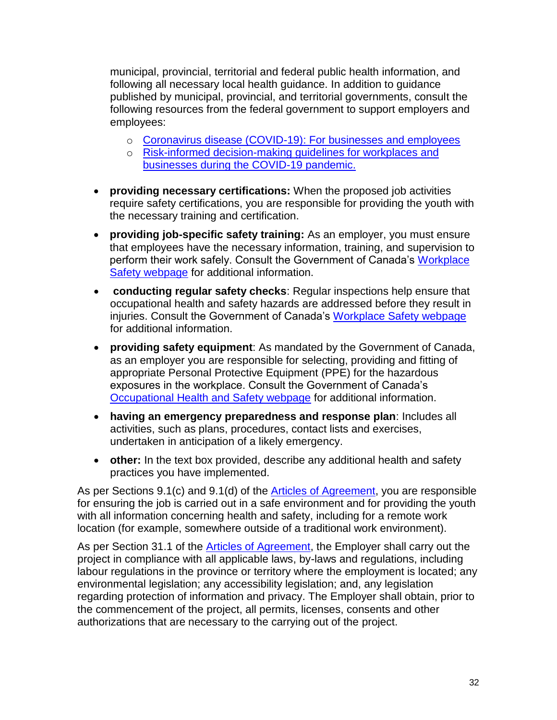municipal, provincial, territorial and federal public health information, and following all necessary local health guidance. In addition to guidance published by municipal, provincial, and territorial governments, consult the following resources from the federal government to support employers and employees:

- o [Coronavirus disease \(COVID-19\): For businesses and employees](https://www.canada.ca/en/public-health/services/diseases/coronavirus-disease-covid-19/businesses-employees.html)
- o [Risk-informed decision-making guidelines for workplaces and](https://www.canada.ca/en/public-health/services/diseases/2019-novel-coronavirus-infection/guidance-documents/risk-informed-decision-making-workplaces-businesses-covid-19-pandemic.html)  [businesses during the COVID-19 pandemic.](https://www.canada.ca/en/public-health/services/diseases/2019-novel-coronavirus-infection/guidance-documents/risk-informed-decision-making-workplaces-businesses-covid-19-pandemic.html)
- **providing necessary certifications:** When the proposed job activities require safety certifications, you are responsible for providing the youth with the necessary training and certification.
- **providing job-specific safety training:** As an employer, you must ensure that employees have the necessary information, training, and supervision to perform their work safely. Consult the Government of Canada's [Workplace](https://www.canada.ca/en/employment-social-development/services/health-safety/workplace-safety.html)  [Safety webpage](https://www.canada.ca/en/employment-social-development/services/health-safety/workplace-safety.html) for additional information.
- **conducting regular safety checks**: Regular inspections help ensure that occupational health and safety hazards are addressed before they result in injuries. Consult the Government of Canada's [Workplace Safety webpage](https://www.canada.ca/en/employment-social-development/services/health-safety/workplace-safety.html) for additional information.
- **providing safety equipment**: As mandated by the Government of Canada, as an employer you are responsible for selecting, providing and fitting of appropriate Personal Protective Equipment (PPE) for the hazardous exposures in the workplace. Consult the Government of Canada's [Occupational Health and Safety webpage](https://www.canada.ca/en/health-canada/services/environmental-workplace-health/reports-publications/occupational-health-safety/whmis-quick-facts-personal-protective-equipment-health-canada-2008.html) for additional information.
- **having an emergency preparedness and response plan**: Includes all activities, such as plans, procedures, contact lists and exercises, undertaken in anticipation of a likely emergency.
- **other:** In the text box provided, describe any additional health and safety practices you have implemented.

As per Sections 9.1(c) and 9.1(d) of the [Articles of Agreement,](https://www.canada.ca/en/employment-social-development/services/funding/youth-summer-job/agreement.html) you are responsible for ensuring the job is carried out in a safe environment and for providing the youth with all information concerning health and safety, including for a remote work location (for example, somewhere outside of a traditional work environment).

As per Section 31.1 of the **Articles of Agreement**, the Employer shall carry out the project in compliance with all applicable laws, by-laws and regulations, including labour regulations in the province or territory where the employment is located; any environmental legislation; any accessibility legislation; and, any legislation regarding protection of information and privacy. The Employer shall obtain, prior to the commencement of the project, all permits, licenses, consents and other authorizations that are necessary to the carrying out of the project.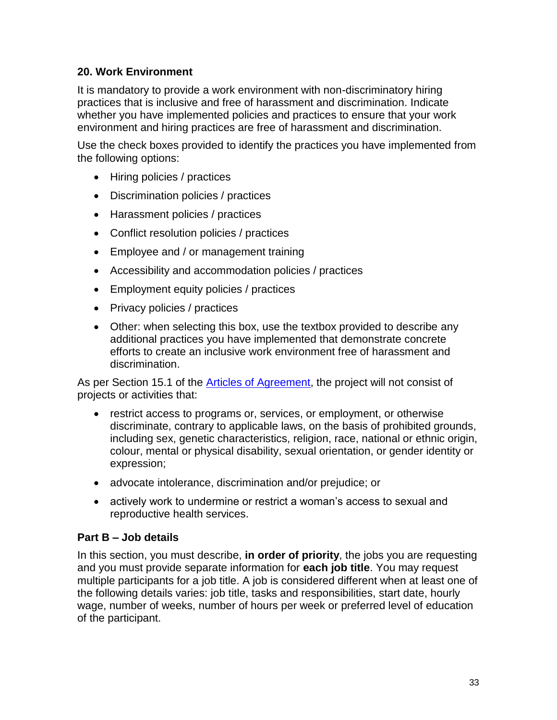### **20. Work Environment**

It is mandatory to provide a work environment with non-discriminatory hiring practices that is inclusive and free of harassment and discrimination. Indicate whether you have implemented policies and practices to ensure that your work environment and hiring practices are free of harassment and discrimination.

Use the check boxes provided to identify the practices you have implemented from the following options:

- Hiring policies / practices
- Discrimination policies / practices
- Harassment policies / practices
- Conflict resolution policies / practices
- Employee and / or management training
- Accessibility and accommodation policies / practices
- Employment equity policies / practices
- Privacy policies / practices
- Other: when selecting this box, use the textbox provided to describe any additional practices you have implemented that demonstrate concrete efforts to create an inclusive work environment free of harassment and discrimination.

As per Section 15.1 of the **Articles of Agreement**, the project will not consist of projects or activities that:

- restrict access to programs or, services, or employment, or otherwise discriminate, contrary to applicable laws, on the basis of prohibited grounds, including sex, genetic characteristics, religion, race, national or ethnic origin, colour, mental or physical disability, sexual orientation, or gender identity or expression;
- advocate intolerance, discrimination and/or prejudice; or
- actively work to undermine or restrict a woman's access to sexual and reproductive health services.

#### **Part B – Job details**

In this section, you must describe, **in order of priority**, the jobs you are requesting and you must provide separate information for **each job title**. You may request multiple participants for a job title. A job is considered different when at least one of the following details varies: job title, tasks and responsibilities, start date, hourly wage, number of weeks, number of hours per week or preferred level of education of the participant.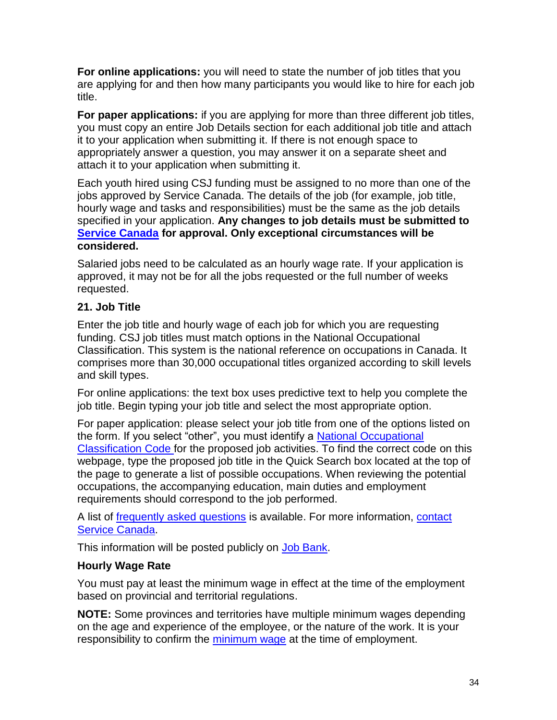**For online applications:** you will need to state the number of job titles that you are applying for and then how many participants you would like to hire for each job title.

**For paper applications:** if you are applying for more than three different job titles, you must copy an entire Job Details section for each additional job title and attach it to your application when submitting it. If there is not enough space to appropriately answer a question, you may answer it on a separate sheet and attach it to your application when submitting it.

Each youth hired using CSJ funding must be assigned to no more than one of the jobs approved by Service Canada. The details of the job (for example, job title, hourly wage and tasks and responsibilities) must be the same as the job details specified in your application. **Any changes to job details must be submitted to [Service Canada](https://www.canada.ca/en/employment-social-development/corporate/contact/canada-summer-jobs.html) for approval. Only exceptional circumstances will be considered.**

Salaried jobs need to be calculated as an hourly wage rate. If your application is approved, it may not be for all the jobs requested or the full number of weeks requested.

## **21. Job Title**

Enter the job title and hourly wage of each job for which you are requesting funding. CSJ job titles must match options in the National Occupational Classification. This system is the national reference on occupations in Canada. It comprises more than 30,000 occupational titles organized according to skill levels and skill types.

For online applications: the text box uses predictive text to help you complete the job title. Begin typing your job title and select the most appropriate option.

For paper application: please select your job title from one of the options listed on the form. If you select "other", you must identify a [National Occupational](https://noc.esdc.gc.ca/)  [Classification Code](https://noc.esdc.gc.ca/) for the proposed job activities. To find the correct code on this webpage, type the proposed job title in the Quick Search box located at the top of the page to generate a list of possible occupations. When reviewing the potential occupations, the accompanying education, main duties and employment requirements should correspond to the job performed.

A list of [frequently asked questions](https://noc.esdc.gc.ca/Home/FrequAskedQuestions) is available. For more information, [contact](https://www.canada.ca/en/employment-social-development/corporate/contact/canada-summer-jobs.html)  [Service Canada.](https://www.canada.ca/en/employment-social-development/corporate/contact/canada-summer-jobs.html)

This information will be posted publicly on [Job Bank.](https://www.jobbank.gc.ca/youth)

## **Hourly Wage Rate**

You must pay at least the minimum wage in effect at the time of the employment based on provincial and territorial regulations.

**NOTE:** Some provinces and territories have multiple minimum wages depending on the age and experience of the employee, or the nature of the work. It is your responsibility to confirm the [minimum wage](#page-15-0) at the time of employment.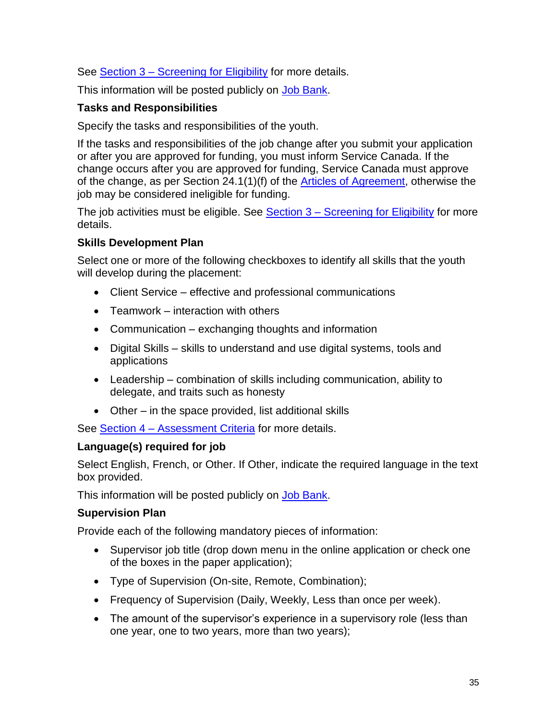See Section 3 – [Screening for Eligibility](#page-8-0) for more details.

This information will be posted publicly on [Job Bank.](https://www.jobbank.gc.ca/youth)

## **Tasks and Responsibilities**

Specify the tasks and responsibilities of the youth.

If the tasks and responsibilities of the job change after you submit your application or after you are approved for funding, you must inform Service Canada. If the change occurs after you are approved for funding, Service Canada must approve of the change, as per Section 24.1(1)(f) of the [Articles of Agreement,](https://www.canada.ca/en/employment-social-development/services/funding/youth-summer-job/agreement.html) otherwise the job may be considered ineligible for funding.

The job activities must be eligible. See Section  $3 -$  [Screening for Eligibility](#page-8-0) for more details.

## **Skills Development Plan**

Select one or more of the following checkboxes to identify all skills that the youth will develop during the placement:

- Client Service effective and professional communications
- Teamwork interaction with others
- Communication exchanging thoughts and information
- Digital Skills skills to understand and use digital systems, tools and applications
- Leadership combination of skills including communication, ability to delegate, and traits such as honesty
- Other in the space provided, list additional skills

See Section 4 – [Assessment Criteria](#page-18-2) for more details.

## **Language(s) required for job**

Select English, French, or Other. If Other, indicate the required language in the text box provided.

This information will be posted publicly on [Job Bank.](https://www.jobbank.gc.ca/youth)

## **Supervision Plan**

Provide each of the following mandatory pieces of information:

- Supervisor job title (drop down menu in the online application or check one of the boxes in the paper application);
- Type of Supervision (On-site, Remote, Combination);
- Frequency of Supervision (Daily, Weekly, Less than once per week).
- The amount of the supervisor's experience in a supervisory role (less than one year, one to two years, more than two years);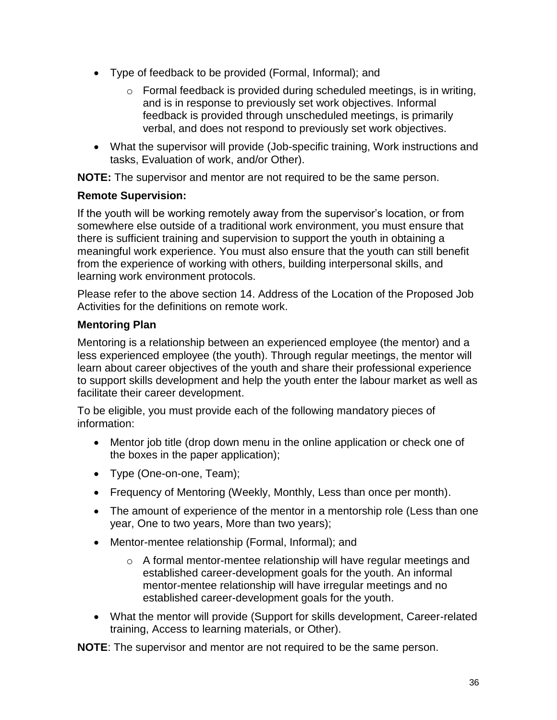- Type of feedback to be provided (Formal, Informal); and
	- o Formal feedback is provided during scheduled meetings, is in writing, and is in response to previously set work objectives. Informal feedback is provided through unscheduled meetings, is primarily verbal, and does not respond to previously set work objectives.
- What the supervisor will provide (Job-specific training, Work instructions and tasks, Evaluation of work, and/or Other).

**NOTE:** The supervisor and mentor are not required to be the same person.

#### **Remote Supervision:**

If the youth will be working remotely away from the supervisor's location, or from somewhere else outside of a traditional work environment, you must ensure that there is sufficient training and supervision to support the youth in obtaining a meaningful work experience. You must also ensure that the youth can still benefit from the experience of working with others, building interpersonal skills, and learning work environment protocols.

Please refer to the above section 14. Address of the Location of the Proposed Job Activities for the definitions on remote work.

## **Mentoring Plan**

Mentoring is a relationship between an experienced employee (the mentor) and a less experienced employee (the youth). Through regular meetings, the mentor will learn about career objectives of the youth and share their professional experience to support skills development and help the youth enter the labour market as well as facilitate their career development.

To be eligible, you must provide each of the following mandatory pieces of information:

- Mentor job title (drop down menu in the online application or check one of the boxes in the paper application);
- Type (One-on-one, Team);
- Frequency of Mentoring (Weekly, Monthly, Less than once per month).
- The amount of experience of the mentor in a mentorship role (Less than one year, One to two years, More than two years);
- Mentor-mentee relationship (Formal, Informal); and
	- o A formal mentor-mentee relationship will have regular meetings and established career-development goals for the youth. An informal mentor-mentee relationship will have irregular meetings and no established career-development goals for the youth.
- What the mentor will provide (Support for skills development, Career-related training, Access to learning materials, or Other).

**NOTE**: The supervisor and mentor are not required to be the same person.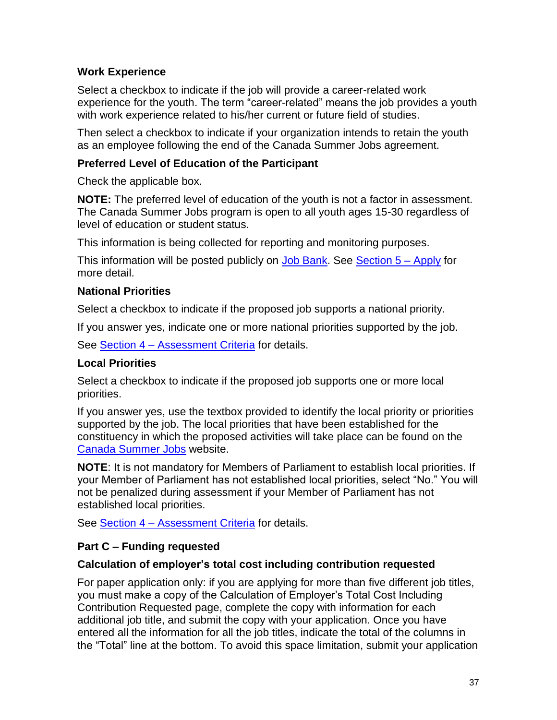## **Work Experience**

Select a checkbox to indicate if the job will provide a career-related work experience for the youth. The term "career-related" means the job provides a youth with work experience related to his/her current or future field of studies.

Then select a checkbox to indicate if your organization intends to retain the youth as an employee following the end of the Canada Summer Jobs agreement.

#### **Preferred Level of Education of the Participant**

Check the applicable box.

**NOTE:** The preferred level of education of the youth is not a factor in assessment. The Canada Summer Jobs program is open to all youth ages 15-30 regardless of level of education or student status.

This information is being collected for reporting and monitoring purposes.

This information will be posted publicly on [Job Bank.](https://www.jobbank.gc.ca/youth) See [Section 5 –](#page-22-0) Apply for more detail.

## **National Priorities**

Select a checkbox to indicate if the proposed job supports a national priority.

If you answer yes, indicate one or more national priorities supported by the job.

See Section 4 – [Assessment Criteria](#page-18-2) for details.

### **Local Priorities**

Select a checkbox to indicate if the proposed job supports one or more local priorities.

If you answer yes, use the textbox provided to identify the local priority or priorities supported by the job. The local priorities that have been established for the constituency in which the proposed activities will take place can be found on the [Canada Summer Jo](https://www.canada.ca/en/employment-social-development/services/funding/canada-summer-jobs/local-priorities.html)bs website.

**NOTE**: It is not mandatory for Members of Parliament to establish local priorities. If your Member of Parliament has not established local priorities, select "No." You will not be penalized during assessment if your Member of Parliament has not established local priorities.

See **Section 4 – [Assessment Criteria](#page-18-2)** for details.

## **Part C – Funding requested**

#### **Calculation of employer's total cost including contribution requested**

For paper application only: if you are applying for more than five different job titles, you must make a copy of the Calculation of Employer's Total Cost Including Contribution Requested page, complete the copy with information for each additional job title, and submit the copy with your application. Once you have entered all the information for all the job titles, indicate the total of the columns in the "Total" line at the bottom. To avoid this space limitation, submit your application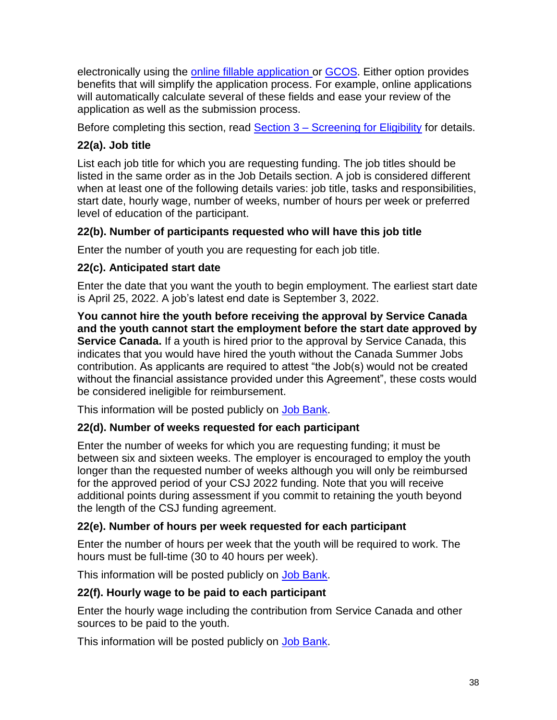electronically using the [online fillable application](https://srv217.services.gc.ca/ihst4/Intro.aspx?cid=e7d4ea95-e956-4121-8754-03166ae47520&lc=eng) or [GCOS.](https://www.canada.ca/en/employment-social-development/services/funding/gcos.html) Either option provides benefits that will simplify the application process. For example, online applications will automatically calculate several of these fields and ease your review of the application as well as the submission process.

Before completing this section, read **Section 3 – [Screening for Eligibility](#page-8-0)** for details.

## **22(a). Job title**

List each job title for which you are requesting funding. The job titles should be listed in the same order as in the Job Details section. A job is considered different when at least one of the following details varies: job title, tasks and responsibilities, start date, hourly wage, number of weeks, number of hours per week or preferred level of education of the participant.

## **22(b). Number of participants requested who will have this job title**

Enter the number of youth you are requesting for each job title.

## **22(c). Anticipated start date**

Enter the date that you want the youth to begin employment. The earliest start date is April 25, 2022. A job's latest end date is September 3, 2022.

**You cannot hire the youth before receiving the approval by Service Canada and the youth cannot start the employment before the start date approved by Service Canada.** If a youth is hired prior to the approval by Service Canada, this indicates that you would have hired the youth without the Canada Summer Jobs contribution. As applicants are required to attest "the Job(s) would not be created without the financial assistance provided under this Agreement", these costs would be considered ineligible for reimbursement.

This information will be posted publicly on [Job Bank.](https://www.jobbank.gc.ca/youth)

## **22(d). Number of weeks requested for each participant**

Enter the number of weeks for which you are requesting funding; it must be between six and sixteen weeks. The employer is encouraged to employ the youth longer than the requested number of weeks although you will only be reimbursed for the approved period of your CSJ 2022 funding. Note that you will receive additional points during assessment if you commit to retaining the youth beyond the length of the CSJ funding agreement.

## **22(e). Number of hours per week requested for each participant**

Enter the number of hours per week that the youth will be required to work. The hours must be full-time (30 to 40 hours per week).

This information will be posted publicly on [Job Bank.](https://www.jobbank.gc.ca/youth)

## **22(f). Hourly wage to be paid to each participant**

Enter the hourly wage including the contribution from Service Canada and other sources to be paid to the youth.

This information will be posted publicly on [Job Bank.](https://www.jobbank.gc.ca/youth)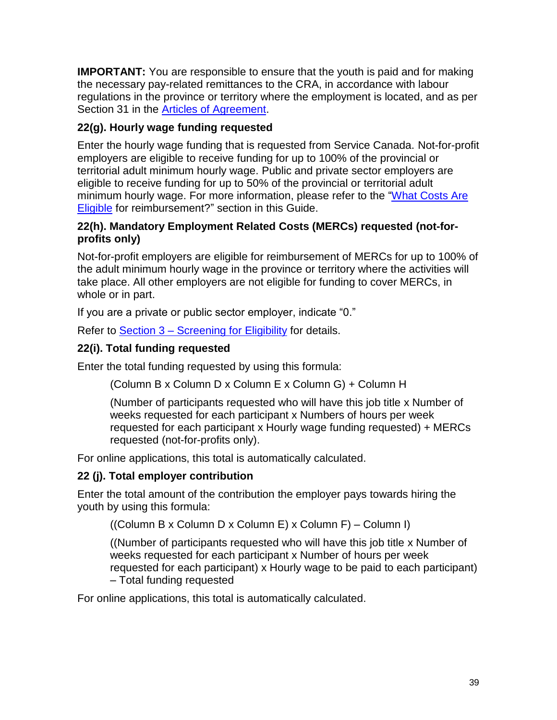**IMPORTANT:** You are responsible to ensure that the youth is paid and for making the necessary pay-related remittances to the CRA, in accordance with labour regulations in the province or territory where the employment is located, and as per Section 31 in the [Articles of Agreement.](https://www.canada.ca/en/employment-social-development/services/funding/youth-summer-job/agreement.html)

## **22(g). Hourly wage funding requested**

Enter the hourly wage funding that is requested from Service Canada. Not-for-profit employers are eligible to receive funding for up to 100% of the provincial or territorial adult minimum hourly wage. Public and private sector employers are eligible to receive funding for up to 50% of the provincial or territorial adult minimum hourly wage. For more information, please refer to the ["What Costs Are](#page-14-0)  [Eligible](#page-14-0) for reimbursement?" section in this Guide.

## **22(h). Mandatory Employment Related Costs (MERCs) requested (not-forprofits only)**

Not-for-profit employers are eligible for reimbursement of MERCs for up to 100% of the adult minimum hourly wage in the province or territory where the activities will take place. All other employers are not eligible for funding to cover MERCs, in whole or in part.

If you are a private or public sector employer, indicate "0."

Refer to Section 3 – [Screening for Eligibility](#page-8-0) for details.

## **22(i). Total funding requested**

Enter the total funding requested by using this formula:

(Column B x Column D x Column E x Column G) + Column H

(Number of participants requested who will have this job title x Number of weeks requested for each participant x Numbers of hours per week requested for each participant x Hourly wage funding requested) + MERCs requested (not-for-profits only).

For online applications, this total is automatically calculated.

## **22 (j). Total employer contribution**

Enter the total amount of the contribution the employer pays towards hiring the youth by using this formula:

((Column B x Column D x Column E) x Column F) – Column I)

((Number of participants requested who will have this job title x Number of weeks requested for each participant x Number of hours per week requested for each participant) x Hourly wage to be paid to each participant) – Total funding requested

For online applications, this total is automatically calculated.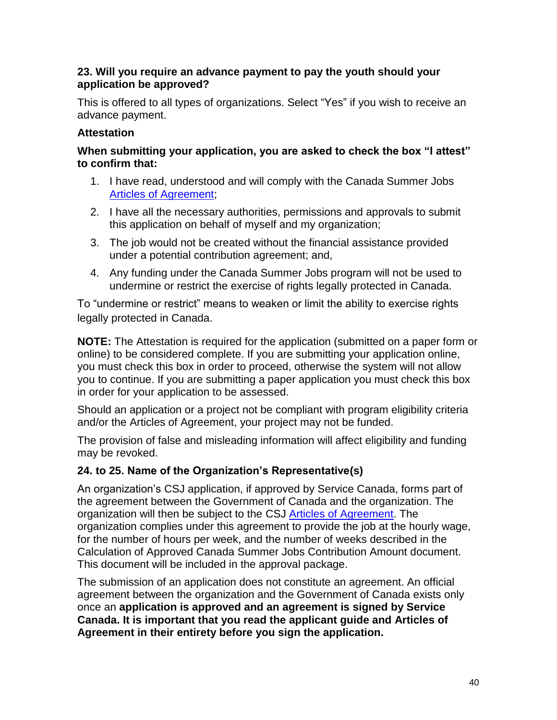#### **23. Will you require an advance payment to pay the youth should your application be approved?**

This is offered to all types of organizations. Select "Yes" if you wish to receive an advance payment.

## **Attestation**

#### **When submitting your application, you are asked to check the box "I attest" to confirm that:**

- 1. I have read, understood and will comply with the Canada Summer Jobs [Articles of Agreement;](https://www.canada.ca/en/employment-social-development/services/funding/youth-summer-job/agreement.html)
- 2. I have all the necessary authorities, permissions and approvals to submit this application on behalf of myself and my organization;
- 3. The job would not be created without the financial assistance provided under a potential contribution agreement; and,
- 4. Any funding under the Canada Summer Jobs program will not be used to undermine or restrict the exercise of rights legally protected in Canada.

To "undermine or restrict" means to weaken or limit the ability to exercise rights legally protected in Canada.

**NOTE:** The Attestation is required for the application (submitted on a paper form or online) to be considered complete. If you are submitting your application online, you must check this box in order to proceed, otherwise the system will not allow you to continue. If you are submitting a paper application you must check this box in order for your application to be assessed.

Should an application or a project not be compliant with program eligibility criteria and/or the Articles of Agreement, your project may not be funded.

The provision of false and misleading information will affect eligibility and funding may be revoked.

## **24. to 25. Name of the Organization's Representative(s)**

An organization's CSJ application, if approved by Service Canada, forms part of the agreement between the Government of Canada and the organization. The organization will then be subject to the CSJ [Articles of Agreement.](https://www.canada.ca/en/employment-social-development/services/funding/youth-summer-job/agreement.html) The organization complies under this agreement to provide the job at the hourly wage, for the number of hours per week, and the number of weeks described in the Calculation of Approved Canada Summer Jobs Contribution Amount document. This document will be included in the approval package.

The submission of an application does not constitute an agreement. An official agreement between the organization and the Government of Canada exists only once an **application is approved and an agreement is signed by Service Canada. It is important that you read the applicant guide and Articles of Agreement in their entirety before you sign the application.**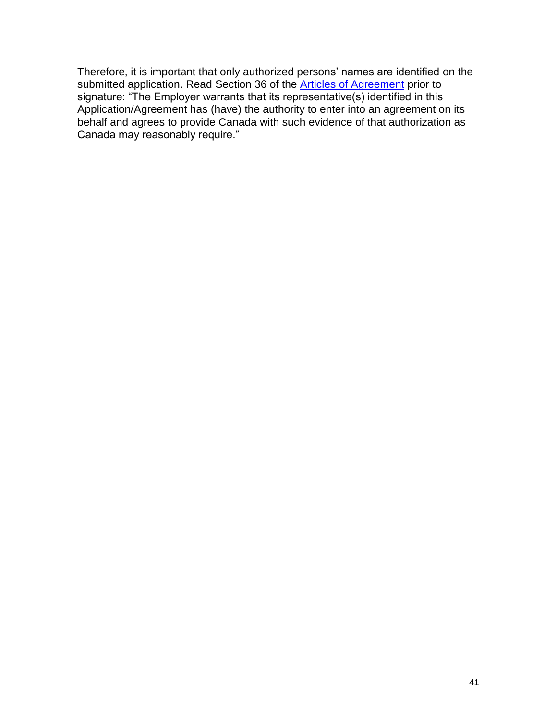Therefore, it is important that only authorized persons' names are identified on the submitted application. Read Section 36 of the **Articles of Agreement** prior to signature: "The Employer warrants that its representative(s) identified in this Application/Agreement has (have) the authority to enter into an agreement on its behalf and agrees to provide Canada with such evidence of that authorization as Canada may reasonably require."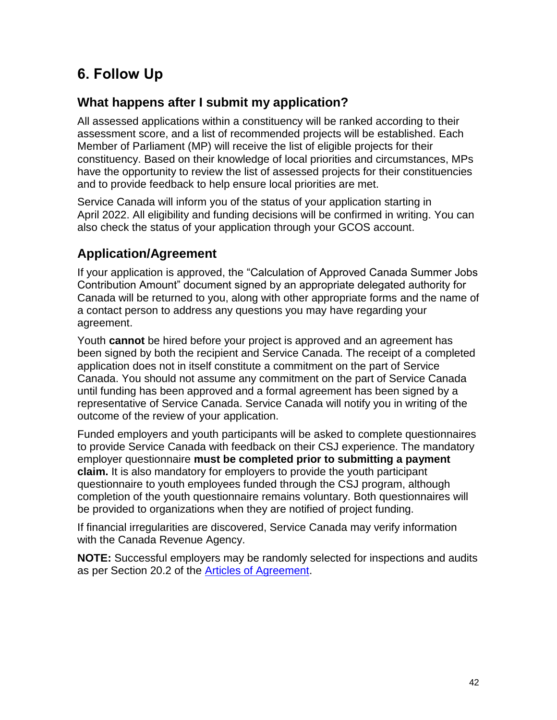# <span id="page-41-0"></span>**6. Follow Up**

# <span id="page-41-1"></span>**What happens after I submit my application?**

All assessed applications within a constituency will be ranked according to their assessment score, and a list of recommended projects will be established. Each Member of Parliament (MP) will receive the list of eligible projects for their constituency. Based on their knowledge of local priorities and circumstances, MPs have the opportunity to review the list of assessed projects for their constituencies and to provide feedback to help ensure local priorities are met.

Service Canada will inform you of the status of your application starting in April 2022. All eligibility and funding decisions will be confirmed in writing. You can also check the status of your application through your GCOS account.

# <span id="page-41-2"></span>**Application/Agreement**

If your application is approved, the "Calculation of Approved Canada Summer Jobs Contribution Amount" document signed by an appropriate delegated authority for Canada will be returned to you, along with other appropriate forms and the name of a contact person to address any questions you may have regarding your agreement.

Youth **cannot** be hired before your project is approved and an agreement has been signed by both the recipient and Service Canada. The receipt of a completed application does not in itself constitute a commitment on the part of Service Canada. You should not assume any commitment on the part of Service Canada until funding has been approved and a formal agreement has been signed by a representative of Service Canada. Service Canada will notify you in writing of the outcome of the review of your application.

Funded employers and youth participants will be asked to complete questionnaires to provide Service Canada with feedback on their CSJ experience. The mandatory employer questionnaire **must be completed prior to submitting a payment claim.** It is also mandatory for employers to provide the youth participant questionnaire to youth employees funded through the CSJ program, although completion of the youth questionnaire remains voluntary. Both questionnaires will be provided to organizations when they are notified of project funding.

If financial irregularities are discovered, Service Canada may verify information with the Canada Revenue Agency.

**NOTE:** Successful employers may be randomly selected for inspections and audits as per Section 20.2 of the [Articles of Agreement.](https://www.canada.ca/en/employment-social-development/services/funding/youth-summer-job/agreement.html)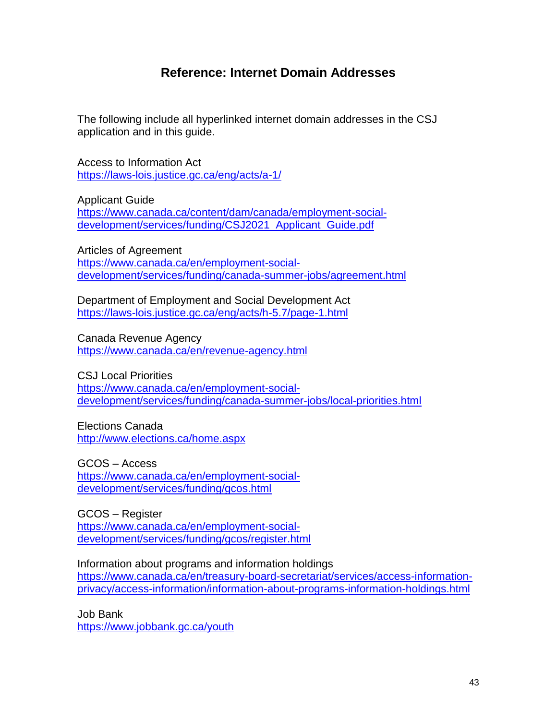## **Reference: Internet Domain Addresses**

<span id="page-42-0"></span>The following include all hyperlinked internet domain addresses in the CSJ application and in this guide.

Access to Information Act <https://laws-lois.justice.gc.ca/eng/acts/a-1/>

Applicant Guide [https://www.canada.ca/content/dam/canada/employment-social](https://www.canada.ca/content/dam/canada/employment-social-development/services/funding/CSJ2021_Applicant_Guide.pdf)[development/services/funding/CSJ2021\\_Applicant\\_Guide.pdf](https://www.canada.ca/content/dam/canada/employment-social-development/services/funding/CSJ2021_Applicant_Guide.pdf)

Articles of Agreement [https://www.canada.ca/en/employment-social](https://www.canada.ca/en/employment-social-development/services/funding/canada-summer-jobs/agreement.html)[development/services/funding/canada-summer-jobs/agreement.html](https://www.canada.ca/en/employment-social-development/services/funding/canada-summer-jobs/agreement.html)

Department of Employment and Social Development Act <https://laws-lois.justice.gc.ca/eng/acts/h-5.7/page-1.html>

Canada Revenue Agency <https://www.canada.ca/en/revenue-agency.html>

CSJ Local Priorities [https://www.canada.ca/en/employment-social](https://www.canada.ca/en/employment-social-development/services/funding/canada-summer-jobs/local-priorities.html)[development/services/funding/canada-summer-jobs/local-priorities.html](https://www.canada.ca/en/employment-social-development/services/funding/canada-summer-jobs/local-priorities.html)

Elections Canada <http://www.elections.ca/home.aspx>

GCOS – Access [https://www.canada.ca/en/employment-social](https://www.canada.ca/en/employment-social-development/services/funding/gcos.html)[development/services/funding/gcos.html](https://www.canada.ca/en/employment-social-development/services/funding/gcos.html)

GCOS – Register [https://www.canada.ca/en/employment-social](https://www.canada.ca/en/employment-social-development/services/funding/gcos/register.html)[development/services/funding/gcos/register.html](https://www.canada.ca/en/employment-social-development/services/funding/gcos/register.html)

Information about programs and information holdings [https://www.canada.ca/en/treasury-board-secretariat/services/access-information](https://www.canada.ca/en/treasury-board-secretariat/services/access-information-privacy/access-information/information-about-programs-information-holdings.html)[privacy/access-information/information-about-programs-information-holdings.html](https://www.canada.ca/en/treasury-board-secretariat/services/access-information-privacy/access-information/information-about-programs-information-holdings.html)

Job Bank <https://www.jobbank.gc.ca/youth>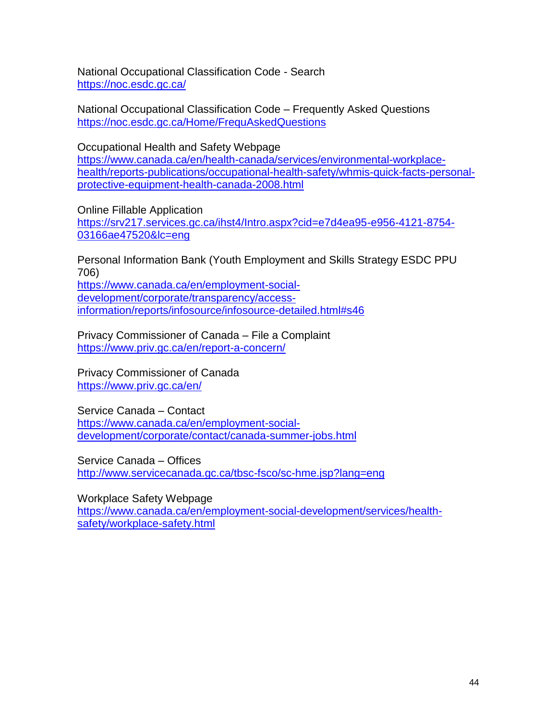National Occupational Classification Code - Search <https://noc.esdc.gc.ca/>

National Occupational Classification Code – Frequently Asked Questions <https://noc.esdc.gc.ca/Home/FrequAskedQuestions>

Occupational Health and Safety Webpage

[https://www.canada.ca/en/health-canada/services/environmental-workplace](https://www.canada.ca/en/health-canada/services/environmental-workplace-health/reports-publications/occupational-health-safety/whmis-quick-facts-personal-protective-equipment-health-canada-2008.html)[health/reports-publications/occupational-health-safety/whmis-quick-facts-personal](https://www.canada.ca/en/health-canada/services/environmental-workplace-health/reports-publications/occupational-health-safety/whmis-quick-facts-personal-protective-equipment-health-canada-2008.html)[protective-equipment-health-canada-2008.html](https://www.canada.ca/en/health-canada/services/environmental-workplace-health/reports-publications/occupational-health-safety/whmis-quick-facts-personal-protective-equipment-health-canada-2008.html)

Online Fillable Application

[https://srv217.services.gc.ca/ihst4/Intro.aspx?cid=e7d4ea95-e956-4121-8754-](https://srv217.services.gc.ca/ihst4/Intro.aspx?cid=e7d4ea95-e956-4121-8754-03166ae47520&lc=eng) [03166ae47520&lc=eng](https://srv217.services.gc.ca/ihst4/Intro.aspx?cid=e7d4ea95-e956-4121-8754-03166ae47520&lc=eng)

Personal Information Bank (Youth Employment and Skills Strategy ESDC PPU 706) [https://www.canada.ca/en/employment-social](https://www.canada.ca/en/employment-social-development/corporate/transparency/access-information/reports/infosource/infosource-detailed.html#s46)[development/corporate/transparency/access](https://www.canada.ca/en/employment-social-development/corporate/transparency/access-information/reports/infosource/infosource-detailed.html#s46)[information/reports/infosource/infosource-detailed.html#s46](https://www.canada.ca/en/employment-social-development/corporate/transparency/access-information/reports/infosource/infosource-detailed.html#s46)

Privacy Commissioner of Canada – File a Complaint <https://www.priv.gc.ca/en/report-a-concern/>

Privacy Commissioner of Canada <https://www.priv.gc.ca/en/>

Service Canada – Contact [https://www.canada.ca/en/employment-social](https://www.canada.ca/en/employment-social-development/corporate/contact/canada-summer-jobs.html)[development/corporate/contact/canada-summer-jobs.html](https://www.canada.ca/en/employment-social-development/corporate/contact/canada-summer-jobs.html)

Service Canada – Offices <http://www.servicecanada.gc.ca/tbsc-fsco/sc-hme.jsp?lang=eng>

Workplace Safety Webpage

[https://www.canada.ca/en/employment-social-development/services/health](https://www.canada.ca/en/employment-social-development/services/health-safety/workplace-safety.html)[safety/workplace-safety.html](https://www.canada.ca/en/employment-social-development/services/health-safety/workplace-safety.html)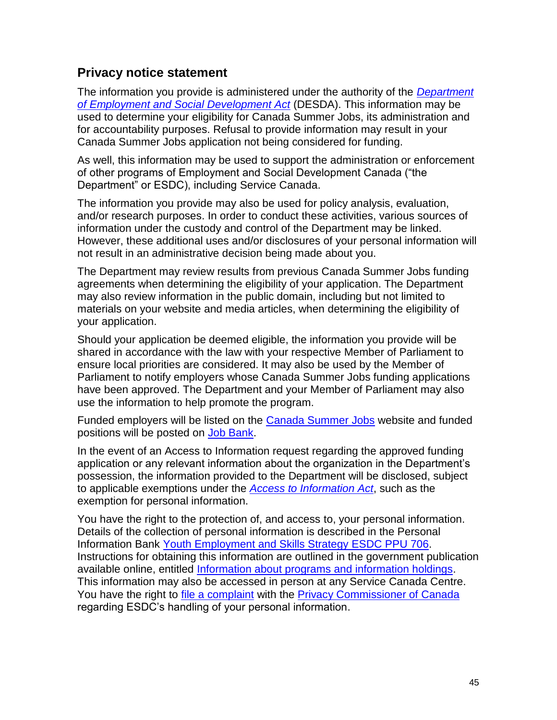## <span id="page-44-0"></span>**Privacy notice statement**

The information you provide is administered under the authority of the *[Department](https://laws-lois.justice.gc.ca/eng/acts/h-5.7/page-1.html)  [of Employment and Social Development Act](https://laws-lois.justice.gc.ca/eng/acts/h-5.7/page-1.html)* (DESDA). This information may be used to determine your eligibility for Canada Summer Jobs, its administration and for accountability purposes. Refusal to provide information may result in your Canada Summer Jobs application not being considered for funding.

As well, this information may be used to support the administration or enforcement of other programs of Employment and Social Development Canada ("the Department" or ESDC), including Service Canada.

The information you provide may also be used for policy analysis, evaluation, and/or research purposes. In order to conduct these activities, various sources of information under the custody and control of the Department may be linked. However, these additional uses and/or disclosures of your personal information will not result in an administrative decision being made about you.

The Department may review results from previous Canada Summer Jobs funding agreements when determining the eligibility of your application. The Department may also review information in the public domain, including but not limited to materials on your website and media articles, when determining the eligibility of your application.

Should your application be deemed eligible, the information you provide will be shared in accordance with the law with your respective Member of Parliament to ensure local priorities are considered. It may also be used by the Member of Parliament to notify employers whose Canada Summer Jobs funding applications have been approved. The Department and your Member of Parliament may also use the information to help promote the program.

Funded employers will be listed on the [Canada Summer Jo](https://www.canada.ca/en/employment-social-development/services/funding/canada-summer-jobs.html)bs website and funded positions will be posted on [Job Bank.](https://www.jobbank.gc.ca/youth)

In the event of an Access to Information request regarding the approved funding application or any relevant information about the organization in the Department's possession, the information provided to the Department will be disclosed, subject to applicable exemptions under the *[Access to Information Act](https://laws-lois.justice.gc.ca/eng/acts/a-1/)*, such as the exemption for personal information.

<span id="page-44-1"></span>You have the right to the protection of, and access to, your personal information. Details of the collection of personal information is described in the Personal Information Bank [Youth Employment and Skills Strategy](https://www.canada.ca/en/employment-social-development/corporate/transparency/access-information/reports/infosource/infosource-detailed.html#s46) ESDC PPU 706. Instructions for obtaining this information are outlined in the government publication available online, entitled [Information about programs and information holdings](https://www.canada.ca/en/treasury-board-secretariat/services/access-information-privacy/access-information/information-about-programs-information-holdings.html). This information may also be accessed in person at any Service Canada Centre. You have the right to [file a complaint](https://www.priv.gc.ca/en/report-a-concern/) with the [Privacy Commissioner of Canada](https://www.priv.gc.ca/en/) regarding ESDC's handling of your personal information.